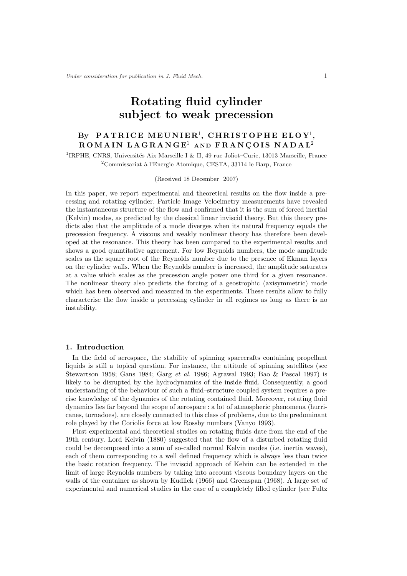# Rotating fluid cylinder subject to weak precession

## By PATRICE MEUNIER<sup>1</sup>, CHRISTOPHE ELOY<sup>1</sup>,  $ROMAIN$   $LAGRANGE<sup>1</sup>$  and  $FRANGOIS$   $NADAL<sup>2</sup>$

<sup>1</sup>IRPHE, CNRS, Universités Aix Marseille I & II, 49 rue Joliot–Curie, 13013 Marseille, France  $2^2$ Commissariat à l'Energie Atomique, CESTA, 33114 le Barp, France

(Received 18 December 2007)

In this paper, we report experimental and theoretical results on the flow inside a precessing and rotating cylinder. Particle Image Velocimetry measurements have revealed the instantaneous structure of the flow and confirmed that it is the sum of forced inertial (Kelvin) modes, as predicted by the classical linear inviscid theory. But this theory predicts also that the amplitude of a mode diverges when its natural frequency equals the precession frequency. A viscous and weakly nonlinear theory has therefore been developed at the resonance. This theory has been compared to the experimental results and shows a good quantitative agreement. For low Reynolds numbers, the mode amplitude scales as the square root of the Reynolds number due to the presence of Ekman layers on the cylinder walls. When the Reynolds number is increased, the amplitude saturates at a value which scales as the precession angle power one third for a given resonance. The nonlinear theory also predicts the forcing of a geostrophic (axisymmetric) mode which has been observed and measured in the experiments. These results allow to fully characterise the flow inside a precessing cylinder in all regimes as long as there is no instability.

## 1. Introduction

In the field of aerospace, the stability of spinning spacecrafts containing propellant liquids is still a topical question. For instance, the attitude of spinning satellites (see Stewartson 1958; Gans 1984; Garg et al. 1986; Agrawal 1993; Bao & Pascal 1997) is likely to be disrupted by the hydrodynamics of the inside fluid. Consequently, a good understanding of the behaviour of such a fluid–structure coupled system requires a precise knowledge of the dynamics of the rotating contained fluid. Moreover, rotating fluid dynamics lies far beyond the scope of aerospace : a lot of atmospheric phenomena (hurricanes, tornadoes), are closely connected to this class of problems, due to the predominant role played by the Coriolis force at low Rossby numbers (Vanyo 1993).

First experimental and theoretical studies on rotating fluids date from the end of the 19th century. Lord Kelvin (1880) suggested that the flow of a disturbed rotating fluid could be decomposed into a sum of so-called normal Kelvin modes (i.e. inertia waves), each of them corresponding to a well defined frequency which is always less than twice the basic rotation frequency. The inviscid approach of Kelvin can be extended in the limit of large Reynolds numbers by taking into account viscous boundary layers on the walls of the container as shown by Kudlick (1966) and Greenspan (1968). A large set of experimental and numerical studies in the case of a completely filled cylinder (see Fultz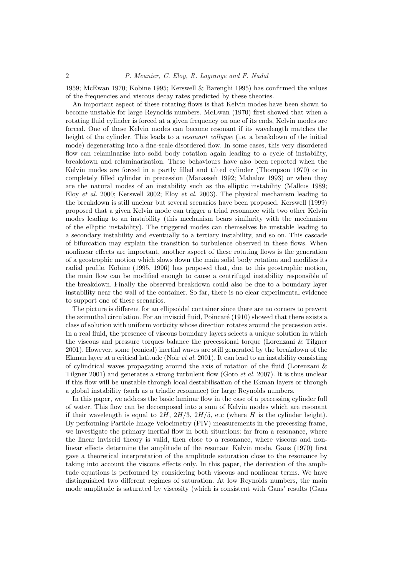1959; McEwan 1970; Kobine 1995; Kerswell & Barenghi 1995) has confirmed the values of the frequencies and viscous decay rates predicted by these theories.

An important aspect of these rotating flows is that Kelvin modes have been shown to become unstable for large Reynolds numbers. McEwan (1970) first showed that when a rotating fluid cylinder is forced at a given frequency on one of its ends, Kelvin modes are forced. One of these Kelvin modes can become resonant if its wavelength matches the height of the cylinder. This leads to a *resonant collapse* (i.e. a breakdown of the initial mode) degenerating into a fine-scale disordered flow. In some cases, this very disordered flow can relaminarise into solid body rotation again leading to a cycle of instability, breakdown and relaminarisation. These behaviours have also been reported when the Kelvin modes are forced in a partly filled and tilted cylinder (Thompson 1970) or in completely filled cylinder in precession (Manasseh 1992; Mahalov 1993) or when they are the natural modes of an instability such as the elliptic instability (Malkus 1989; Eloy et al. 2000; Kerswell 2002; Eloy et al. 2003). The physical mechanism leading to the breakdown is still unclear but several scenarios have been proposed. Kerswell (1999) proposed that a given Kelvin mode can trigger a triad resonance with two other Kelvin modes leading to an instability (this mechanism bears similarity with the mechanism of the elliptic instability). The triggered modes can themselves be unstable leading to a secondary instability and eventually to a tertiary instability, and so on. This cascade of bifurcation may explain the transition to turbulence observed in these flows. When nonlinear effects are important, another aspect of these rotating flows is the generation of a geostrophic motion which slows down the main solid body rotation and modifies its radial profile. Kobine (1995, 1996) has proposed that, due to this geostrophic motion, the main flow can be modified enough to cause a centrifugal instability responsible of the breakdown. Finally the observed breakdown could also be due to a boundary layer instability near the wall of the container. So far, there is no clear experimental evidence to support one of these scenarios.

The picture is different for an ellipsoidal container since there are no corners to prevent the azimuthal circulation. For an inviscid fluid, Poincaré (1910) showed that there exists a class of solution with uniform vorticity whose direction rotates around the precession axis. In a real fluid, the presence of viscous boundary layers selects a unique solution in which the viscous and pressure torques balance the precessional torque (Lorenzani & Tilgner 2001). However, some (conical) inertial waves are still generated by the breakdown of the Ekman layer at a critical latitude (Noir et al. 2001). It can lead to an instability consisting of cylindrical waves propagating around the axis of rotation of the fluid (Lorenzani & Tilgner 2001) and generates a strong turbulent flow (Goto et al. 2007). It is thus unclear if this flow will be unstable through local destabilisation of the Ekman layers or through a global instability (such as a triadic resonance) for large Reynolds numbers.

In this paper, we address the basic laminar flow in the case of a precessing cylinder full of water. This flow can be decomposed into a sum of Kelvin modes which are resonant if their wavelength is equal to  $2H$ ,  $2H/3$ ,  $2H/5$ , etc (where H is the cylinder height). By performing Particle Image Velocimetry (PIV) measurements in the precessing frame, we investigate the primary inertial flow in both situations: far from a resonance, where the linear inviscid theory is valid, then close to a resonance, where viscous and nonlinear effects determine the amplitude of the resonant Kelvin mode. Gans (1970) first gave a theoretical interpretation of the amplitude saturation close to the resonance by taking into account the viscous effects only. In this paper, the derivation of the amplitude equations is performed by considering both viscous and nonlinear terms. We have distinguished two different regimes of saturation. At low Reynolds numbers, the main mode amplitude is saturated by viscosity (which is consistent with Gans' results (Gans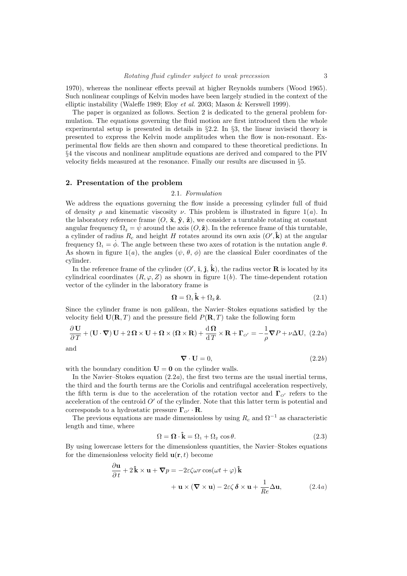1970), whereas the nonlinear effects prevail at higher Reynolds numbers (Wood 1965). Such nonlinear couplings of Kelvin modes have been largely studied in the context of the elliptic instability (Waleffe 1989; Eloy et al. 2003; Mason & Kerswell 1999).

The paper is organized as follows. Section 2 is dedicated to the general problem formulation. The equations governing the fluid motion are first introduced then the whole experimental setup is presented in details in §2.2. In §3, the linear inviscid theory is presented to express the Kelvin mode amplitudes when the flow is non-resonant. Experimental flow fields are then shown and compared to these theoretical predictions. In §4 the viscous and nonlinear amplitude equations are derived and compared to the PIV velocity fields measured at the resonance. Finally our results are discussed in §5.

## 2. Presentation of the problem

#### 2.1. Formulation

We address the equations governing the flow inside a precessing cylinder full of fluid of density  $\rho$  and kinematic viscosity  $\nu$ . This problem is illustrated in figure 1(*a*). In the laboratory reference frame  $(O, \hat{\mathbf{x}}, \hat{\mathbf{y}}, \hat{\mathbf{z}})$ , we consider a turntable rotating at constant angular frequency  $\Omega_2 = \psi$  around the axis  $(O, \hat{\mathbf{z}})$ . In the reference frame of this turntable, a cylinder of radius  $R_c$  and height H rotates around its own axis  $(O',\hat{k})$  at the angular frequency  $\Omega_1 = \dot{\phi}$ . The angle between these two axes of rotation is the nutation angle  $\theta$ . As shown in figure 1(a), the angles  $(\psi, \theta, \phi)$  are the classical Euler coordinates of the cylinder.

In the reference frame of the cylinder  $(O', \hat{\mathbf{i}}, \hat{\mathbf{j}}, \hat{\mathbf{k}})$ , the radius vector **R** is located by its cylindrical coordinates  $(R, \varphi, Z)$  as shown in figure 1(b). The time-dependent rotation vector of the cylinder in the laboratory frame is

$$
\Omega = \Omega_1 \hat{\mathbf{k}} + \Omega_2 \hat{\mathbf{z}}.\tag{2.1}
$$

Since the cylinder frame is non galilean, the Navier–Stokes equations satisfied by the velocity field  $U(R, T)$  and the pressure field  $P(R, T)$  take the following form

$$
\frac{\partial \mathbf{U}}{\partial T} + (\mathbf{U} \cdot \nabla) \mathbf{U} + 2 \mathbf{\Omega} \times \mathbf{U} + \mathbf{\Omega} \times (\mathbf{\Omega} \times \mathbf{R}) + \frac{\mathrm{d} \mathbf{\Omega}}{\mathrm{d} T} \times \mathbf{R} + \mathbf{\Gamma}_{o'} = -\frac{1}{\rho} \nabla P + \nu \Delta \mathbf{U}, \tag{2.2a}
$$

and

$$
\nabla \cdot \mathbf{U} = 0,\tag{2.2b}
$$

with the boundary condition  $U = 0$  on the cylinder walls.

In the Navier–Stokes equation  $(2.2a)$ , the first two terms are the usual inertial terms, the third and the fourth terms are the Coriolis and centrifugal acceleration respectively, the fifth term is due to the acceleration of the rotation vector and  $\Gamma_{\alpha'}$  refers to the acceleration of the centroid  $O'$  of the cylinder. Note that this latter term is potential and corresponds to a hydrostatic pressure  $\Gamma_{\alpha'} \cdot \mathbf{R}$ .

The previous equations are made dimensionless by using  $R_c$  and  $\Omega^{-1}$  as characteristic length and time, where

$$
\Omega = \mathbf{\Omega} \cdot \mathbf{\hat{k}} = \Omega_1 + \Omega_2 \cos \theta. \tag{2.3}
$$

By using lowercase letters for the dimensionless quantities, the Navier–Stokes equations for the dimensionless velocity field  $\mathbf{u}(\mathbf{r},t)$  become

$$
\frac{\partial \mathbf{u}}{\partial t} + 2\hat{\mathbf{k}} \times \mathbf{u} + \nabla p = -2\varepsilon \zeta \omega r \cos(\omega t + \varphi) \hat{\mathbf{k}} \n+ \mathbf{u} \times (\nabla \times \mathbf{u}) - 2\varepsilon \zeta \delta \times \mathbf{u} + \frac{1}{Re} \Delta \mathbf{u},
$$
\n(2.4*a*)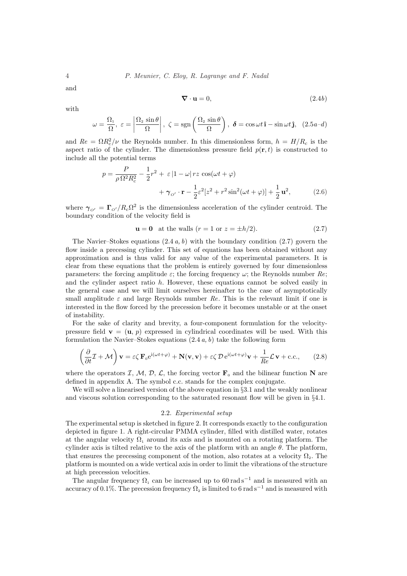and

$$
\nabla \cdot \mathbf{u} = 0,\tag{2.4b}
$$

with

$$
\omega = \frac{\Omega_1}{\Omega}, \ \varepsilon = \left| \frac{\Omega_2 \sin \theta}{\Omega} \right|, \ \zeta = \text{sgn}\left(\frac{\Omega_2 \sin \theta}{\Omega}\right), \ \boldsymbol{\delta} = \cos \omega t \, \mathbf{\hat{i}} - \sin \omega t \, \mathbf{\hat{j}}, \ \ (2.5a - d)
$$

and  $Re = \Omega R_c^2/\nu$  the Reynolds number. In this dimensionless form,  $h = H/R_c$  is the aspect ratio of the cylinder. The dimensionless pressure field  $p(\mathbf{r}, t)$  is constructed to include all the potential terms

$$
p = \frac{P}{\rho \Omega^2 R_c^2} - \frac{1}{2}r^2 + \varepsilon |1 - \omega| rz \cos(\omega t + \varphi)
$$
  
+ 
$$
\gamma_{\alpha'} \cdot \mathbf{r} - \frac{1}{2}\varepsilon^2 [z^2 + r^2 \sin^2(\omega t + \varphi)] + \frac{1}{2}\mathbf{u}^2,
$$
 (2.6)

where  $\gamma_{o'} = \Gamma_{o'}/R_c\Omega^2$  is the dimensionless acceleration of the cylinder centroid. The boundary condition of the velocity field is

$$
\mathbf{u} = \mathbf{0} \quad \text{at the walls } (r = 1 \text{ or } z = \pm h/2). \tag{2.7}
$$

The Navier–Stokes equations  $(2.4 a, b)$  with the boundary condition  $(2.7)$  govern the flow inside a precessing cylinder. This set of equations has been obtained without any approximation and is thus valid for any value of the experimental parameters. It is clear from these equations that the problem is entirely governed by four dimensionless parameters: the forcing amplitude  $\varepsilon$ ; the forcing frequency  $\omega$ ; the Reynolds number Re; and the cylinder aspect ratio  $h$ . However, these equations cannot be solved easily in the general case and we will limit ourselves hereinafter to the case of asymptotically small amplitude  $\varepsilon$  and large Reynolds number Re. This is the relevant limit if one is interested in the flow forced by the precession before it becomes unstable or at the onset of instability.

For the sake of clarity and brevity, a four-component formulation for the velocitypressure field  $\mathbf{v} = (\mathbf{u}, p)$  expressed in cylindrical coordinates will be used. With this formulation the Navier–Stokes equations  $(2.4 a, b)$  take the following form

$$
\left(\frac{\partial}{\partial t}\mathcal{I} + \mathcal{M}\right)\mathbf{v} = \varepsilon \zeta \mathbf{F}_0 e^{i(\omega t + \varphi)} + \mathbf{N}(\mathbf{v}, \mathbf{v}) + \varepsilon \zeta \mathcal{D} e^{i(\omega t + \varphi)} \mathbf{v} + \frac{1}{Re} \mathcal{L} \mathbf{v} + \text{c.c.},\qquad(2.8)
$$

where the operators I, M, D, L, the forcing vector  $\mathbf{F}_0$  and the bilinear function N are defined in appendix A. The symbol c.c. stands for the complex conjugate.

We will solve a linearised version of the above equation in §3.1 and the weakly nonlinear and viscous solution corresponding to the saturated resonant flow will be given in §4.1.

#### 2.2. Experimental setup

The experimental setup is sketched in figure 2. It corresponds exactly to the configuration depicted in figure 1. A right-circular PMMA cylinder, filled with distilled water, rotates at the angular velocity  $\Omega_1$  around its axis and is mounted on a rotating platform. The cylinder axis is tilted relative to the axis of the platform with an angle  $\theta$ . The platform, that ensures the precessing component of the motion, also rotates at a velocity  $\Omega<sub>2</sub>$ . The platform is mounted on a wide vertical axis in order to limit the vibrations of the structure at high precession velocities.

The angular frequency  $\Omega_1$  can be increased up to 60 rad s<sup>-1</sup> and is measured with an accuracy of 0.1%. The precession frequency  $\Omega_2$  is limited to 6 rad s<sup>-1</sup> and is measured with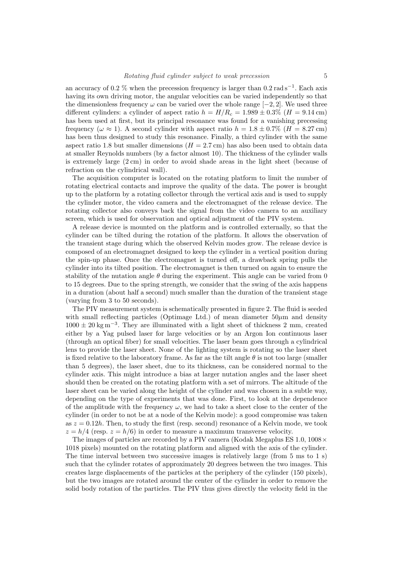an accuracy of 0.2 % when the precession frequency is larger than  $0.2 \text{ rad s}^{-1}$ . Each axis having its own driving motor, the angular velocities can be varied independently so that the dimensionless frequency  $\omega$  can be varied over the whole range [−2, 2]. We used three different cylinders: a cylinder of aspect ratio  $h = H/R_c = 1.989 \pm 0.3\%$  (H = 9.14 cm) has been used at first, but its principal resonance was found for a vanishing precessing frequency ( $\omega \approx 1$ ). A second cylinder with aspect ratio  $h = 1.8 \pm 0.7\%$  ( $H = 8.27$  cm) has been thus designed to study this resonance. Finally, a third cylinder with the same aspect ratio 1.8 but smaller dimensions ( $H = 2.7$  cm) has also been used to obtain data at smaller Reynolds numbers (by a factor almost 10). The thickness of the cylinder walls is extremely large (2 cm) in order to avoid shade areas in the light sheet (because of refraction on the cylindrical wall).

The acquisition computer is located on the rotating platform to limit the number of rotating electrical contacts and improve the quality of the data. The power is brought up to the platform by a rotating collector through the vertical axis and is used to supply the cylinder motor, the video camera and the electromagnet of the release device. The rotating collector also conveys back the signal from the video camera to an auxiliary screen, which is used for observation and optical adjustment of the PIV system.

A release device is mounted on the platform and is controlled externally, so that the cylinder can be tilted during the rotation of the platform. It allows the observation of the transient stage during which the observed Kelvin modes grow. The release device is composed of an electromagnet designed to keep the cylinder in a vertical position during the spin-up phase. Once the electromagnet is turned off, a drawback spring pulls the cylinder into its tilted position. The electromagnet is then turned on again to ensure the stability of the nutation angle  $\theta$  during the experiment. This angle can be varied from 0 to 15 degrees. Due to the spring strength, we consider that the swing of the axis happens in a duration (about half a second) much smaller than the duration of the transient stage (varying from 3 to 50 seconds).

The PIV measurement system is schematically presented in figure 2. The fluid is seeded with small reflecting particles (Optimage Ltd.) of mean diameter  $50\mu$ m and density  $1000 \pm 20$  kg m<sup>-3</sup>. They are illuminated with a light sheet of thickness 2 mm, created either by a Yag pulsed laser for large velocities or by an Argon Ion continuous laser (through an optical fiber) for small velocities. The laser beam goes through a cylindrical lens to provide the laser sheet. None of the lighting system is rotating so the laser sheet is fixed relative to the laboratory frame. As far as the tilt angle  $\theta$  is not too large (smaller than 5 degrees), the laser sheet, due to its thickness, can be considered normal to the cylinder axis. This might introduce a bias at larger nutation angles and the laser sheet should then be created on the rotating platform with a set of mirrors. The altitude of the laser sheet can be varied along the height of the cylinder and was chosen in a subtle way, depending on the type of experiments that was done. First, to look at the dependence of the amplitude with the frequency  $\omega$ , we had to take a sheet close to the center of the cylinder (in order to not be at a node of the Kelvin mode): a good compromise was taken as  $z = 0.12h$ . Then, to study the first (resp. second) resonance of a Kelvin mode, we took  $z = h/4$  (resp.  $z = h/6$ ) in order to measure a maximum transverse velocity.

The images of particles are recorded by a PIV camera (Kodak Megaplus ES 1.0,  $1008 \times$ 1018 pixels) mounted on the rotating platform and aligned with the axis of the cylinder. The time interval between two successive images is relatively large (from 5 ms to 1 s) such that the cylinder rotates of approximately 20 degrees between the two images. This creates large displacements of the particles at the periphery of the cylinder (150 pixels), but the two images are rotated around the center of the cylinder in order to remove the solid body rotation of the particles. The PIV thus gives directly the velocity field in the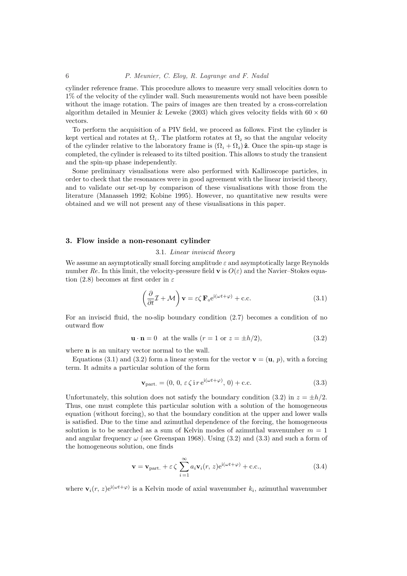cylinder reference frame. This procedure allows to measure very small velocities down to 1% of the velocity of the cylinder wall. Such measurements would not have been possible without the image rotation. The pairs of images are then treated by a cross-correlation algorithm detailed in Meunier & Leweke (2003) which gives velocity fields with  $60 \times 60$ vectors.

To perform the acquisition of a PIV field, we proceed as follows. First the cylinder is kept vertical and rotates at  $\Omega_1$ . The platform rotates at  $\Omega_2$  so that the angular velocity of the cylinder relative to the laboratory frame is  $(\Omega_1 + \Omega_2) \hat{\mathbf{z}}$ . Once the spin-up stage is completed, the cylinder is released to its tilted position. This allows to study the transient and the spin-up phase independently.

Some preliminary visualisations were also performed with Kalliroscope particles, in order to check that the resonances were in good agreement with the linear inviscid theory, and to validate our set-up by comparison of these visualisations with those from the literature (Manasseh 1992; Kobine 1995). However, no quantitative new results were obtained and we will not present any of these visualisations in this paper.

#### 3. Flow inside a non-resonant cylinder

#### 3.1. Linear inviscid theory

We assume an asymptotically small forcing amplitude  $\varepsilon$  and asymptotically large Reynolds number Re. In this limit, the velocity-pressure field **v** is  $O(\varepsilon)$  and the Navier–Stokes equation (2.8) becomes at first order in  $\varepsilon$ 

$$
\left(\frac{\partial}{\partial t}\mathcal{I} + \mathcal{M}\right)\mathbf{v} = \varepsilon \zeta \mathbf{F}_0 e^{i(\omega t + \varphi)} + \text{c.c.}
$$
\n(3.1)

For an inviscid fluid, the no-slip boundary condition (2.7) becomes a condition of no outward flow

$$
\mathbf{u} \cdot \mathbf{n} = 0 \quad \text{at the walls } (r = 1 \text{ or } z = \pm h/2), \tag{3.2}
$$

where **n** is an unitary vector normal to the wall.

Equations (3.1) and (3.2) form a linear system for the vector  $\mathbf{v} = (\mathbf{u}, p)$ , with a forcing term. It admits a particular solution of the form

$$
\mathbf{v}_{\text{part.}} = (0, 0, \varepsilon \zeta \, \text{if } e^{i(\omega t + \varphi)}, 0) + \text{c.c.}
$$
\n(3.3)

Unfortunately, this solution does not satisfy the boundary condition (3.2) in  $z = \pm h/2$ . Thus, one must complete this particular solution with a solution of the homogeneous equation (without forcing), so that the boundary condition at the upper and lower walls is satisfied. Due to the time and azimuthal dependence of the forcing, the homogeneous solution is to be searched as a sum of Kelvin modes of azimuthal wavenumber  $m = 1$ and angular frequency  $\omega$  (see Greenspan 1968). Using (3.2) and (3.3) and such a form of the homogeneous solution, one finds

$$
\mathbf{v} = \mathbf{v}_{\text{part.}} + \varepsilon \zeta \sum_{i=1}^{\infty} a_i \mathbf{v}_i(r, z) e^{i(\omega t + \varphi)} + \text{c.c.},
$$
 (3.4)

where  $\mathbf{v}_i(r, z) e^{i(\omega t + \varphi)}$  is a Kelvin mode of axial wavenumber  $k_i$ , azimuthal wavenumber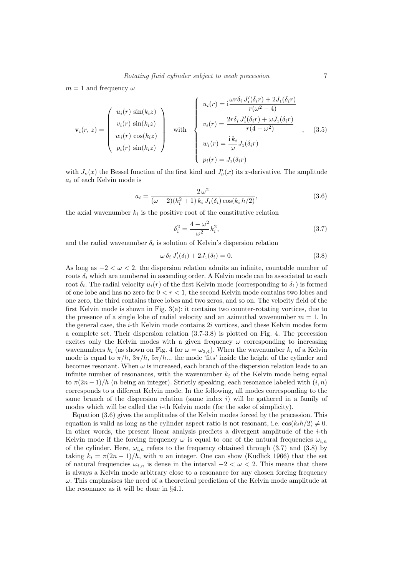$m = 1$  and frequency  $\omega$ 

$$
\mathbf{v}_{i}(r, z) = \begin{pmatrix} u_{i}(r) \sin(k_{i}z) \\ v_{i}(r) \sin(k_{i}z) \\ w_{i}(r) \cos(k_{i}z) \\ p_{i}(r) \sin(k_{i}z) \end{pmatrix} \text{ with } \begin{cases} u_{i}(r) = i\frac{\omega r \delta_{i} J'_{1}(\delta_{i}r) + 2J_{1}(\delta_{i}r)}{r(\omega^{2} - 4)} \\ v_{i}(r) = \frac{2r \delta_{i} J'_{1}(\delta_{i}r) + \omega J_{1}(\delta_{i}r)}{r(4 - \omega^{2})} \\ w_{i}(r) = \frac{i k_{i}}{\omega} J_{1}(\delta_{i}r) \\ p_{i}(r) = J_{1}(\delta_{i}r) \end{cases} (3.5)
$$

with  $J_{\nu}(x)$  the Bessel function of the first kind and  $J_{\nu}'(x)$  its x-derivative. The amplitude  $a_i$  of each Kelvin mode is

$$
a_i = \frac{2\,\omega^2}{(\omega - 2)(k_i^2 + 1)\,k_i\,J_1(\delta_i)\cos(k_i\,h/2)},\tag{3.6}
$$

the axial wavenumber  $k_i$  is the positive root of the constitutive relation

$$
\delta_i^2 = \frac{4 - \omega^2}{\omega^2} k_i^2,
$$
\n(3.7)

and the radial wavenumber  $\delta_i$  is solution of Kelvin's dispersion relation

$$
\omega \,\delta_i J_1'(\delta_i) + 2J_1(\delta_i) = 0. \tag{3.8}
$$

As long as  $-2 < \omega < 2$ , the dispersion relation admits an infinite, countable number of roots  $\delta_i$  which are numbered in ascending order. A Kelvin mode can be associated to each root  $\delta_i$ . The radial velocity  $u_i(r)$  of the first Kelvin mode (corresponding to  $\delta_1$ ) is formed of one lobe and has no zero for  $0 < r < 1$ , the second Kelvin mode contains two lobes and one zero, the third contains three lobes and two zeros, and so on. The velocity field of the first Kelvin mode is shown in Fig. 3(a): it contains two counter-rotating vortices, due to the presence of a single lobe of radial velocity and an azimuthal wavenumber  $m = 1$ . In the general case, the i-th Kelvin mode contains 2i vortices, and these Kelvin modes form a complete set. Their dispersion relation (3.7-3.8) is plotted on Fig. 4. The precession excites only the Kelvin modes with a given frequency  $\omega$  corresponding to increasing wavenumbers  $k_i$  (as shown on Fig. 4 for  $\omega = \omega_{3,4}$ ). When the wavenumber  $k_i$  of a Kelvin mode is equal to  $\pi/h$ ,  $3\pi/h$ ,  $5\pi/h$ ... the mode 'fits' inside the height of the cylinder and becomes resonant. When  $\omega$  is increased, each branch of the dispersion relation leads to an infinite number of resonances, with the wavenumber  $k_i$  of the Kelvin mode being equal to  $\pi(2n-1)/h$  (n being an integer). Strictly speaking, each resonance labeled with  $(i, n)$ corresponds to a different Kelvin mode. In the following, all modes corresponding to the same branch of the dispersion relation (same index  $i$ ) will be gathered in a family of modes which will be called the  $i$ -th Kelvin mode (for the sake of simplicity).

Equation (3.6) gives the amplitudes of the Kelvin modes forced by the precession. This equation is valid as long as the cylinder aspect ratio is not resonant, i.e.  $cos(k_i h/2) \neq 0$ . In other words, the present linear analysis predicts a divergent amplitude of the  $i$ -th Kelvin mode if the forcing frequency  $\omega$  is equal to one of the natural frequencies  $\omega_{i,n}$ of the cylinder. Here,  $\omega_{i,n}$  refers to the frequency obtained through (3.7) and (3.8) by taking  $k_i = \pi(2n-1)/h$ , with n an integer. One can show (Kudlick 1966) that the set of natural frequencies  $\omega_{i,n}$  is dense in the interval  $-2 < \omega < 2$ . This means that there is always a Kelvin mode arbitrary close to a resonance for any chosen forcing frequency  $\omega$ . This emphasises the need of a theoretical prediction of the Kelvin mode amplitude at the resonance as it will be done in §4.1.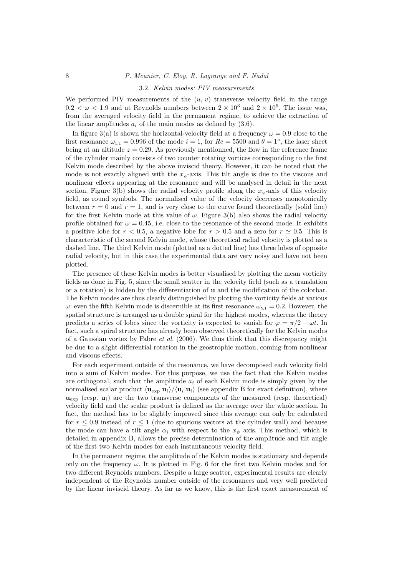#### 3.2. Kelvin modes: PIV measurements

We performed PIV measurements of the  $(u, v)$  transverse velocity field in the range  $0.2 < \omega < 1.9$  and at Reynolds numbers between  $2 \times 10^3$  and  $2 \times 10^5$ . The issue was, from the averaged velocity field in the permanent regime, to achieve the extraction of the linear amplitudes  $a_i$  of the main modes as defined by  $(3.6)$ .

In figure 3(a) is shown the horizontal-velocity field at a frequency  $\omega = 0.9$  close to the first resonance  $\omega_{1,1} = 0.996$  of the mode  $i = 1$ , for  $Re = 5500$  and  $\theta = 1^\circ$ , the laser sheet being at an altitude  $z = 0.29$ . As previously mentionned, the flow in the reference frame of the cylinder mainly consists of two counter rotating vortices corresponding to the first Kelvin mode described by the above inviscid theory. However, it can be noted that the mode is not exactly aligned with the  $x_{\psi}$ -axis. This tilt angle is due to the viscous and nonlinear effects appearing at the resonance and will be analysed in detail in the next section. Figure 3(b) shows the radial velocity profile along the  $x<sub>\psi</sub>$ -axis of this velocity field, as round symbols. The normalised value of the velocity decreases monotonically between  $r = 0$  and  $r = 1$ , and is very close to the curve found theoretically (solid line) for the first Kelvin mode at this value of  $\omega$ . Figure 3(b) also shows the radial velocity profile obtained for  $\omega = 0.45$ , i.e. close to the resonance of the second mode. It exhibits a positive lobe for  $r < 0.5$ , a negative lobe for  $r > 0.5$  and a zero for  $r \approx 0.5$ . This is characteristic of the second Kelvin mode, whose theoretical radial velocity is plotted as a dashed line. The third Kelvin mode (plotted as a dotted line) has three lobes of opposite radial velocity, but in this case the experimental data are very noisy and have not been plotted.

The presence of these Kelvin modes is better visualised by plotting the mean vorticity fields as done in Fig. 5, since the small scatter in the velocity field (such as a translation or a rotation) is hidden by the differentiation of  $\bf{u}$  and the modification of the colorbar. The Kelvin modes are thus clearly distinguished by plotting the vorticity fields at various  $ω$ : even the fifth Kelvin mode is discernible at its first resonance  $ω_{5.1} = 0.2$ . However, the spatial structure is arranged as a double spiral for the highest modes, whereas the theory predicts a series of lobes since the vorticity is expected to vanish for  $\varphi = \pi/2 - \omega t$ . In fact, such a spiral structure has already been observed theoretically for the Kelvin modes of a Gaussian vortex by Fabre  $et \ al.$  (2006). We thus think that this discrepancy might be due to a slight differential rotation in the geostrophic motion, coming from nonlinear and viscous effects.

For each experiment outside of the resonance, we have decomposed each velocity field into a sum of Kelvin modes. For this purpose, we use the fact that the Kelvin modes are orthogonal, such that the amplitude  $a_i$  of each Kelvin mode is simply given by the normalised scalar product  $\langle \mathbf{u}_{exp}|\mathbf{u}_i\rangle/\langle \mathbf{u}_i|\mathbf{u}_i\rangle$  (see appendix B for exact definition), where  $\mathbf{u}_{\rm exp}$  (resp.  $\mathbf{u}_i$ ) are the two transverse components of the measured (resp. theoretical) velocity field and the scalar product is defined as the average over the whole section. In fact, the method has to be slightly improved since this average can only be calculated for  $r < 0.9$  instead of  $r < 1$  (due to spurious vectors at the cylinder wall) and because the mode can have a tilt angle  $\alpha_i$  with respect to the  $x_{\psi}$  axis. This method, which is detailed in appendix B, allows the precise determination of the amplitude and tilt angle of the first two Kelvin modes for each instantaneous velocity field.

In the permanent regime, the amplitude of the Kelvin modes is stationary and depends only on the frequency  $\omega$ . It is plotted in Fig. 6 for the first two Kelvin modes and for two different Reynolds numbers. Despite a large scatter, experimental results are clearly independent of the Reynolds number outside of the resonances and very well predicted by the linear inviscid theory. As far as we know, this is the first exact measurement of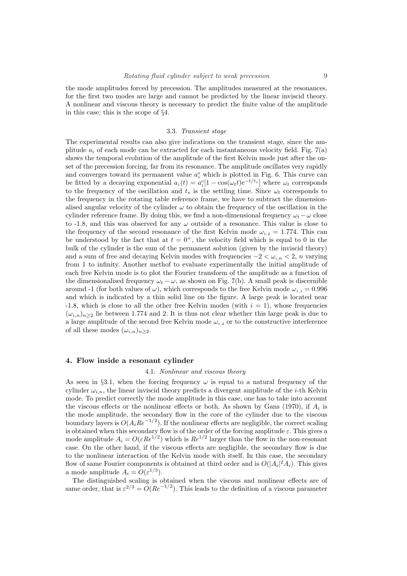the mode amplitudes forced by precession. The amplitudes measured at the resonances, for the first two modes are large and cannot be predicted by the linear inviscid theory. A nonlinear and viscous theory is necessary to predict the finite value of the amplitude in this case; this is the scope of §4.

## 3.3. Transient stage

The experimental results can also give indications on the transient stage, since the amplitude  $a_i$  of each mode can be extracted for each instantaneous velocity field. Fig. 7(a) shows the temporal evolution of the amplitude of the first Kelvin mode just after the onset of the precession forcing, far from its resonance. The amplitude oscillates very rapidly and converges toward its permanent value  $a_1^0$  which is plotted in Fig. 6. This curve can be fitted by a decaying exponential  $a_1(t) = a_1^0[1 - \cos(\omega_t t)e^{-t/t_s}]$  where  $\omega_t$  corresponds to the frequency of the oscillation and  $t_s$  is the settling time. Since  $\omega_t$  corresponds to the frequency in the rotating table reference frame, we have to subtract the dimensionalised angular velocity of the cylinder  $\omega$  to obtain the frequency of the oscillation in the cylinder reference frame. By doing this, we find a non-dimensional frequency  $\omega_t - \omega$  close to -1.8, and this was observed for any  $\omega$  outside of a resonance. This value is close to the frequency of the second resonance of the first Kelvin mode  $\omega_{1,2} = 1.774$ . This can be understood by the fact that at  $t = 0^+$ , the velocity field which is equal to 0 in the bulk of the cylinder is the sum of the permanent solution (given by the inviscid theory) and a sum of free and decaying Kelvin modes with frequencies  $-2 < \omega_{i,n} < 2$ , n varying from 1 to infinity. Another methof to evaluate experimentally the initial amplitude of each free Kelvin mode is to plot the Fourier transform of the amplitude as a function of the dimensionalised frequency  $\omega_t - \omega$ , as shown on Fig. 7(b). A small peak is discernible around -1 (for both values of  $\omega$ ), which corresponds to the free Kelvin mode  $\omega_{1,1} = 0.996$ and which is indicated by a thin solid line on the figure. A large peak is located near -1.8, which is close to all the other free Kelvin modes (with  $i = 1$ ), whose frequencies  $(\omega_{1,n})_{n\geq 2}$  lie between 1.774 and 2. It is thus not clear whether this large peak is due to a large amplitude of the second free Kelvin mode  $\omega_{1,2}$  or to the constructive interference of all these modes  $(\omega_{1,n})_{n\geq 2}$ .

#### 4. Flow inside a resonant cylinder

#### 4.1. Nonlinear and viscous theory

As seen in §3.1, when the forcing frequency  $\omega$  is equal to a natural frequency of the cylinder  $\omega_{i,n}$ , the linear inviscid theory predicts a divergent amplitude of the *i*-th Kelvin mode. To predict correctly the mode amplitude in this case, one has to take into account the viscous effects or the nonlinear effects or both. As shown by Gans  $(1970)$ , if  $A_i$  is the mode amplitude, the secondary flow in the core of the cylinder due to the viscous boundary layers is  $O(A_iRe^{-1/2})$ . If the nonlinear effects are negligible, the correct scaling is obtained when this secondary flow is of the order of the forcing amplitude  $\varepsilon$ . This gives a mode amplitude  $A_i = O(\varepsilon Re^{1/2})$  which is  $Re^{1/2}$  larger than the flow in the non-resonant case. On the other hand, if the viscous effects are negligible, the secondary flow is due to the nonlinear interaction of the Kelvin mode with itself. In this case, the secondary flow of same Fourier components is obtained at third order and is  $O(|A_i|^2 A_i)$ . This gives a mode amplitude  $A_i = O(\varepsilon^{1/3}).$ 

The distinguished scaling is obtained when the viscous and nonlinear effects are of same order, that is  $\varepsilon^{2/3} = O(Re^{-1/2})$ . This leads to the definition of a viscous parameter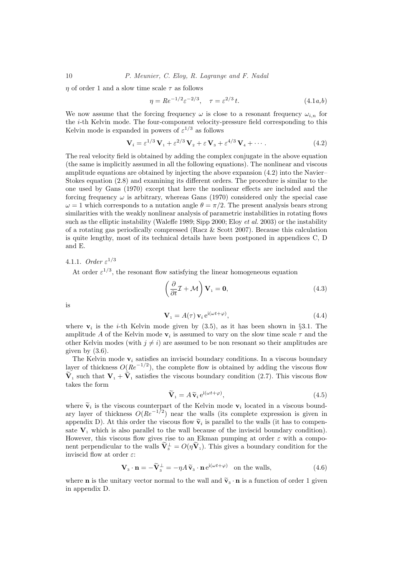$\eta$  of order 1 and a slow time scale  $\tau$  as follows

$$
\eta = Re^{-1/2} \varepsilon^{-2/3}, \quad \tau = \varepsilon^{2/3} t. \tag{4.1a,b}
$$

We now assume that the forcing frequency  $\omega$  is close to a resonant frequency  $\omega_{i,n}$  for the i-th Kelvin mode. The four-component velocity-pressure field corresponding to this Kelvin mode is expanded in powers of  $\varepsilon^{1/3}$  as follows

$$
\mathbf{V}_{i} = \varepsilon^{1/3} \mathbf{V}_{1} + \varepsilon^{2/3} \mathbf{V}_{2} + \varepsilon \mathbf{V}_{3} + \varepsilon^{4/3} \mathbf{V}_{4} + \cdots
$$
 (4.2)

The real velocity field is obtained by adding the complex conjugate in the above equation (the same is implicitly assumed in all the following equations). The nonlinear and viscous amplitude equations are obtained by injecting the above expansion (4.2) into the Navier– Stokes equation (2.8) and examining its different orders. The procedure is similar to the one used by Gans (1970) except that here the nonlinear effects are included and the forcing frequency  $\omega$  is arbitrary, whereas Gans (1970) considered only the special case  $\omega = 1$  which corresponds to a nutation angle  $\theta = \pi/2$ . The present analysis bears strong similarities with the weakly nonlinear analysis of parametric instabilities in rotating flows such as the elliptic instability (Waleffe 1989; Sipp 2000; Eloy *et al.* 2003) or the instability of a rotating gas periodically compressed (Racz & Scott 2007). Because this calculation is quite lengthy, most of its technical details have been postponed in appendices C, D and E.

## 4.1.1. Order  $\varepsilon^{1/3}$

At order  $\varepsilon^{1/3}$ , the resonant flow satisfying the linear homogeneous equation

$$
\left(\frac{\partial}{\partial t}\mathcal{I} + \mathcal{M}\right)\mathbf{V}_1 = \mathbf{0},\tag{4.3}
$$

is

$$
\mathbf{V}_1 = A(\tau) \mathbf{v}_i e^{i(\omega t + \varphi)},\tag{4.4}
$$

where  $v_i$  is the *i*-th Kelvin mode given by  $(3.5)$ , as it has been shown in §3.1. The amplitude A of the Kelvin mode  $v_i$  is assumed to vary on the slow time scale  $\tau$  and the other Kelvin modes (with  $j \neq i$ ) are assumed to be non resonant so their amplitudes are given by  $(3.6)$ .

The Kelvin mode  $\mathbf{v}_i$  satisfies an inviscid boundary conditions. In a viscous boundary layer of thickness  $O(Re^{-1/2})$ , the complete flow is obtained by adding the viscous flow  $\widetilde{\mathbf{V}}_1$  such that  $\mathbf{V}_1 + \widetilde{\mathbf{V}}_1$  satisfies the viscous boundary condition (2.7). This viscous flow takes the form

$$
\widetilde{\mathbf{V}}_1 = A \widetilde{\mathbf{v}}_i e^{\mathrm{i}(\omega t + \varphi)},\tag{4.5}
$$

where  $\tilde{\mathbf{v}}_i$  is the viscous counterpart of the Kelvin mode  $\mathbf{v}_i$  located in a viscous boundary layer of thickness  $O(Re^{-1/2})$  near the walls (its complete expression is given in appendix D). At this order the viscous flow  $\tilde{\mathbf{v}}_i$  is parallel to the walls (it has to compensate  $V_1$ , which is also parallel to the wall because of the inviscid boundary condition). However, this viscous flow gives rise to an Ekman pumping at order  $\varepsilon$  with a component perpendicular to the walls  $\widetilde{\mathbf{V}}_3^{\perp} = O(\eta \widetilde{\mathbf{V}}_1)$ . This gives a boundary condition for the inviscid flow at order  $\varepsilon$ :

$$
\mathbf{V}_{3} \cdot \mathbf{n} = -\tilde{\mathbf{V}}_{3}^{\perp} = -\eta A \tilde{\mathbf{v}}_{3} \cdot \mathbf{n} e^{i(\omega t + \varphi)} \quad \text{on the walls}, \tag{4.6}
$$

where **n** is the unitary vector normal to the wall and  $\tilde{\mathbf{v}}_3 \cdot \mathbf{n}$  is a function of order 1 given in appendix D.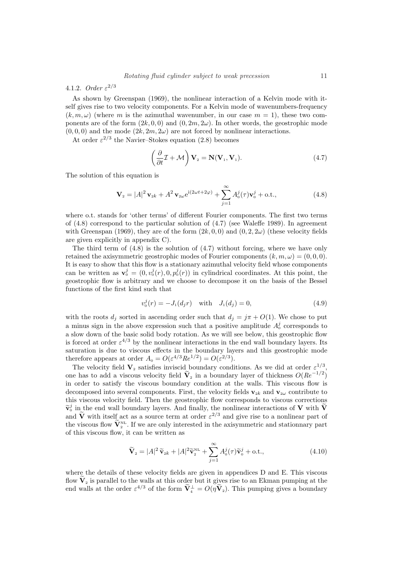## 4.1.2. Order  $\varepsilon^{2/3}$

As shown by Greenspan (1969), the nonlinear interaction of a Kelvin mode with itself gives rise to two velocity components. For a Kelvin mode of wavenumbers-frequency  $(k, m, \omega)$  (where m is the azimuthal wavenumber, in our case  $m = 1$ ), these two components are of the form  $(2k, 0, 0)$  and  $(0, 2m, 2\omega)$ . In other words, the geostrophic mode  $(0, 0, 0)$  and the mode  $(2k, 2m, 2\omega)$  are not forced by nonlinear interactions.

At order  $\varepsilon^{2/3}$  the Navier–Stokes equation (2.8) becomes

$$
\left(\frac{\partial}{\partial t}\mathcal{I} + \mathcal{M}\right) \mathbf{V}_2 = \mathbf{N}(\mathbf{V}_1, \mathbf{V}_1).
$$
\n(4.7)

The solution of this equation is

$$
\mathbf{V}_{2} = |A|^{2} \mathbf{v}_{2k} + A^{2} \mathbf{v}_{2\omega} e^{i(2\omega t + 2\varphi)} + \sum_{j=1}^{\infty} A_{0}^{j}(\tau) \mathbf{v}_{0}^{j} + \text{o.t.,}
$$
 (4.8)

where o.t. stands for 'other terms' of different Fourier components. The first two terms of (4.8) correspond to the particular solution of (4.7) (see Waleffe 1989). In agreement with Greenspan (1969), they are of the form  $(2k, 0, 0)$  and  $(0, 2, 2\omega)$  (these velocity fields are given explicitly in appendix C).

The third term of (4.8) is the solution of (4.7) without forcing, where we have only retained the axisymmetric geostrophic modes of Fourier components  $(k, m, \omega) = (0, 0, 0)$ . It is easy to show that this flow is a stationary azimuthal velocity field whose components can be written as  $\mathbf{v}_0^j = (0, v_0^j(r), 0, p_0^j(r))$  in cylindrical coordinates. At this point, the geostrophic flow is arbitrary and we choose to decompose it on the basis of the Bessel functions of the first kind such that

$$
v_0^j(r) = -J_1(d_jr) \quad \text{with} \quad J_1(d_j) = 0,
$$
\n(4.9)

with the roots  $d_j$  sorted in ascending order such that  $d_j = j\pi + O(1)$ . We chose to put a minus sign in the above expression such that a positive amplitude  $A_0^j$  corresponds to a slow down of the basic solid body rotation. As we will see below, this geostrophic flow is forced at order  $\varepsilon^{4/3}$  by the nonlinear interactions in the end wall boundary layers. Its saturation is due to viscous effects in the boundary layers and this geostrophic mode therefore appears at order  $A_0 = O(\varepsilon^{4/3} Re^{1/2}) = O(\varepsilon^{2/3}).$ 

The velocity field  $V_2$  satisfies inviscid boundary conditions. As we did at order  $\varepsilon^{1/3}$ , one has to add a viscous velocity field  $\widetilde{\mathbf{V}}_2$  in a boundary layer of thickness  $O(Re^{-1/2})$ in order to satisfy the viscous boundary condition at the walls. This viscous flow is decomposed into several components. First, the velocity fields  $\mathbf{v}_{2k}$  and  $\mathbf{v}_{2\omega}$  contribute to this viscous velocity field. Then the geostrophic flow corresponds to viscous corrections  $\widetilde{\mathbf{v}}_0^j$  in the end wall boundary layers. And finally, the nonlinear interactions of **V** with  $\widetilde{\mathbf{V}}$ and  $\tilde{\mathbf{V}}$  with itself act as a source term at order  $\varepsilon^{2/3}$  and give rise to a nonlinear part of the viscous flow  $\widetilde{\mathbf{V}}_2^{\text{NL}}$ . If we are only interested in the axisymmetric and stationnary part of this viscous flow, it can be written as

$$
\widetilde{\mathbf{V}}_2 = |A|^2 \widetilde{\mathbf{v}}_{2k} + |A|^2 \widetilde{\mathbf{v}}_2^{\text{NL}} + \sum_{j=1}^{\infty} A_0^j(\tau) \widetilde{\mathbf{v}}_0^j + \text{o.t.,}
$$
\n(4.10)

where the details of these velocity fields are given in appendices D and E. This viscous flow  $\widetilde{\mathbf{V}}_2$  is parallel to the walls at this order but it gives rise to an Ekman pumping at the end walls at the order  $\varepsilon^{4/3}$  of the form  $\widetilde{\mathbf{V}}_{4}^{\perp} = O(\eta \widetilde{\mathbf{V}}_{2})$ . This pumping gives a boundary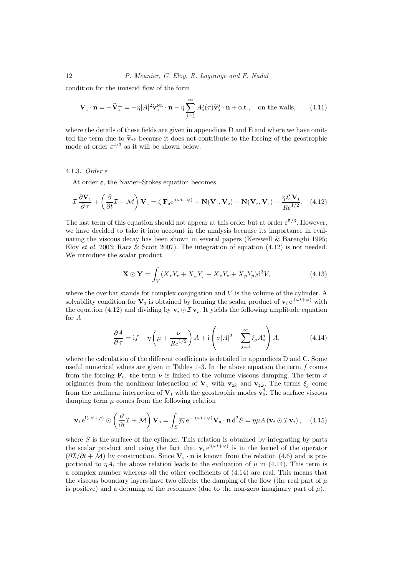condition for the inviscid flow of the form

$$
\mathbf{V}_{4} \cdot \mathbf{n} = -\widetilde{\mathbf{V}}_{4}^{\perp} = -\eta |A|^{2} \widetilde{\mathbf{v}}_{4}^{\text{NL}} \cdot \mathbf{n} - \eta \sum_{j=1}^{\infty} A_{0}^{j}(\tau) \widetilde{\mathbf{v}}_{4}^{j} \cdot \mathbf{n} + \text{o.t.,} \quad \text{on the walls}, \qquad (4.11)
$$

where the details of these fields are given in appendices D and E and where we have omitted the term due to  $\tilde{\mathbf{v}}_{2k}$  because it does not contribute to the forcing of the geostrophic mode at order  $\varepsilon^{4/3}$  as it will be shown below.

## 4.1.3. Order ε

At order  $\varepsilon$ , the Navier–Stokes equation becomes

$$
\mathcal{I}\frac{\partial \mathbf{V}_1}{\partial \tau} + \left(\frac{\partial}{\partial t}\mathcal{I} + \mathcal{M}\right)\mathbf{V}_3 = \zeta \mathbf{F}_0 e^{i(\omega t + \varphi)} + \mathbf{N}(\mathbf{V}_1, \mathbf{V}_2) + \mathbf{N}(\mathbf{V}_2, \mathbf{V}_1) + \frac{\eta \mathcal{L}\mathbf{V}_1}{Re^{1/2}}.
$$
 (4.12)

The last term of this equation should not appear at this order but at order  $\varepsilon^{5/3}$ . However, we have decided to take it into account in the analysis because its importance in evaluating the viscous decay has been shown in several papers (Kerswell  $\&$  Barenghi 1995; Eloy *et al.* 2003; Racz & Scott 2007). The integration of equation  $(4.12)$  is not needed. We introduce the scalar product

$$
\mathbf{X} \odot \mathbf{Y} = \int_{V} (\overline{X}_{r} Y_{r} + \overline{X}_{\varphi} Y_{\varphi} + \overline{X}_{z} Y_{z} + \overline{X}_{p} Y_{p}) \mathrm{d}^{3} V, \tag{4.13}
$$

where the overbar stands for complex conjugation and  $V$  is the volume of the cylinder. A solvability condition for  $V_3$  is obtained by forming the scalar product of  $v_i e^{i(\omega t + \varphi)}$  with the equation (4.12) and dividing by  $\mathbf{v}_i \odot \mathcal{I} \mathbf{v}_i$ . It yields the following amplitude equation for A

$$
\frac{\partial A}{\partial \tau} = \mathrm{i} f - \eta \left( \mu + \frac{\nu}{Re^{1/2}} \right) A + \mathrm{i} \left( \sigma |A|^2 - \sum_{j=1}^{\infty} \xi_j A_0^j \right) A,\tag{4.14}
$$

where the calculation of the different coefficients is detailed in appendices D and C. Some useful numerical values are given in Tables  $1-3$ . In the above equation the term  $f$  comes from the forcing  $\mathbf{F}_0$ , the term  $\nu$  is linked to the volume viscous damping. The term  $\sigma$ originates from the nonlinear interaction of  $V_1$  with  $v_{2k}$  and  $v_{2\omega}$ . The terms  $\xi_j$  come from the nonlinear interaction of  $V_1$  with the geostrophic modes  $v_0^j$ . The surface viscous damping term  $\mu$  comes from the following relation

$$
\mathbf{v}_{i} e^{i(\omega t + \varphi)} \odot \left(\frac{\partial}{\partial t} \mathcal{I} + \mathcal{M}\right) \mathbf{V}_{3} = \int_{S} \overline{p_{i}} e^{-i(\omega t + \varphi)} \mathbf{V}_{3} \cdot \mathbf{n} d^{2}S = \eta \mu A \left(\mathbf{v}_{i} \odot \mathcal{I} \mathbf{v}_{i}\right), \quad (4.15)
$$

where  $S$  is the surface of the cylinder. This relation is obtained by integrating by parts the scalar product and using the fact that  $\mathbf{v}_i e^{i(\omega t + \varphi)}$  is in the kernel of the operator  $(\partial \mathcal{I}/\partial t + \mathcal{M})$  by construction. Since  $V_3 \cdot n$  is known from the relation (4.6) and is proportional to  $\eta A$ , the above relation leads to the evaluation of  $\mu$  in (4.14). This term is a complex number whereas all the other coefficients of (4.14) are real. This means that the viscous boundary layers have two effects: the damping of the flow (the real part of  $\mu$ is positive) and a detuning of the resonance (due to the non-zero imaginary part of  $\mu$ ).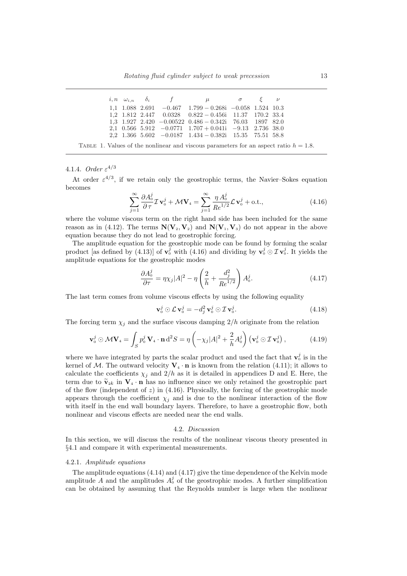|  |  | i, n $\omega_{i,n}$ $\delta_i$ f $\mu$ $\sigma$ $\xi$ $\nu$                                          |  |  |
|--|--|------------------------------------------------------------------------------------------------------|--|--|
|  |  | $1,1$ $1.088$ $2.691$ $-0.467$ $1.799 - 0.268i$ $-0.058$ $1.524$ $10.3$                              |  |  |
|  |  | $1,2$ $1.812$ $2.447$ $0.0328$ $0.822 - 0.456i$ $11.37$ $170.2$ $33.4$                               |  |  |
|  |  | $1,3$ 1.927 2.420 $-0.00522$ $0.486 - 0.342i$ 76.03 1897 82.0                                        |  |  |
|  |  | 2,1 0.566 5.912 $-0.0771$ 1.707 $+$ 0.041i $-9.13$ 2.736 38.0                                        |  |  |
|  |  | $2, 2 \quad 1.366 \quad 5.602 \quad -0.0187 \quad 1.434 - 0.382i \quad 15.35 \quad 75.51 \quad 58.8$ |  |  |

TABLE 1. Values of the nonlinear and viscous parameters for an aspect ratio  $h = 1.8$ .

## 4.1.4. Order  $\varepsilon^{4/3}$

At order  $\varepsilon^{4/3}$ , if we retain only the geostrophic terms, the Navier–Sokes equation becomes

$$
\sum_{j=1}^{\infty} \frac{\partial A_0^j}{\partial \tau} \mathcal{I} \mathbf{v}_0^j + \mathcal{M} \mathbf{V}_4 = \sum_{j=1}^{\infty} \frac{\eta A_0^j}{Re^{1/2}} \mathcal{L} \mathbf{v}_0^j + \text{o.t.,}
$$
\n(4.16)

where the volume viscous term on the right hand side has been included for the same reason as in (4.12). The terms  $N(V_2, V_2)$  and  $N(V_1, V_3)$  do not appear in the above equation because they do not lead to geostrophic forcing.

The amplitude equation for the geostrophic mode can be found by forming the scalar product [as defined by (4.13)] of  $\mathbf{v}_0^j$  with (4.16) and dividing by  $\mathbf{v}_0^j \odot \mathcal{I} \mathbf{v}_0^j$ . It yields the amplitude equations for the geostrophic modes

$$
\frac{\partial A_0^j}{\partial \tau} = \eta \chi_j |A|^2 - \eta \left(\frac{2}{h} + \frac{d_j^2}{Re^{1/2}}\right) A_0^j.
$$
\n(4.17)

The last term comes from volume viscous effects by using the following equality

$$
\mathbf{v}_0^j \odot \mathcal{L} \mathbf{v}_0^j = -d_j^2 \mathbf{v}_0^j \odot \mathcal{I} \mathbf{v}_0^j.
$$
 (4.18)

The forcing term  $\chi_i$  and the surface viscous damping  $2/h$  originate from the relation

$$
\mathbf{v}_0^j \odot \mathcal{M} \mathbf{V}_4 = \int_S p_0^j \mathbf{V}_4 \cdot \mathbf{n} d^2 S = \eta \left( -\chi_j |A|^2 + \frac{2}{h} A_0^j \right) \left( \mathbf{v}_0^j \odot \mathcal{I} \mathbf{v}_0^j \right), \tag{4.19}
$$

where we have integrated by parts the scalar product and used the fact that  $\mathbf{v}_0^j$  is in the kernel of M. The outward velocity  $V_4 \cdot n$  is known from the relation (4.11); it allows to calculate the coefficients  $\chi_i$  and  $2/h$  as it is detailed in appendices D and E. Here, the term due to  $\tilde{\mathbf{v}}_{2k}$  in  $\mathbf{V}_4 \cdot \mathbf{n}$  has no influence since we only retained the geostrophic part of the flow (independent of  $z$ ) in (4.16). Physically, the forcing of the geostrophic mode appears through the coefficient  $\chi_j$  and is due to the nonlinear interaction of the flow with itself in the end wall boundary layers. Therefore, to have a geostrophic flow, both nonlinear and viscous effects are needed near the end walls.

#### 4.2. Discussion

In this section, we will discuss the results of the nonlinear viscous theory presented in §4.1 and compare it with experimental measurements.

#### 4.2.1. Amplitude equations

The amplitude equations (4.14) and (4.17) give the time dependence of the Kelvin mode amplitude A and the amplitudes  $A_0^j$  of the geostrophic modes. A further simplification can be obtained by assuming that the Reynolds number is large when the nonlinear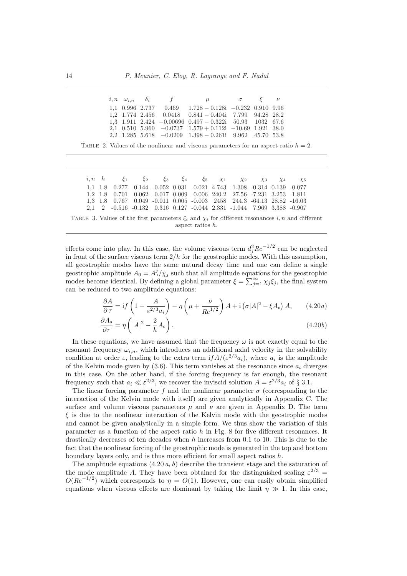|  |  | $i, n \quad \omega_{i,n} \quad \delta_i \qquad f \qquad \qquad \mu \qquad \qquad \sigma \qquad \xi \qquad \nu$ |  |  |
|--|--|----------------------------------------------------------------------------------------------------------------|--|--|
|  |  | $1,1$ 0.996 2.737 0.469 $1.728 - 0.128i$ $-0.232$ 0.910 9.96                                                   |  |  |
|  |  | $1,2$ 1.774 2.456 0.0418 0.841 - 0.404i 7.799 94.28 28.2                                                       |  |  |
|  |  | $1,3$ 1.911 2.424 -0.00696 0.497 - 0.322i 50.93 1032 67.6                                                      |  |  |
|  |  | 2,1 0.510 5.960 $-0.0737$ 1.579 $+$ 0.112i $-10.69$ 1.921 38.0                                                 |  |  |
|  |  | $2,2$ 1.285 5.618 $-0.0209$ 1.398 $-0.261$ 9.962 45.70 53.8                                                    |  |  |

TABLE 2. Values of the nonlinear and viscous parameters for an aspect ratio  $h = 2$ .

|                                                                                                          |  | <i>i,n h</i> $\xi_1$ $\xi_2$ $\xi_3$ $\xi_4$ $\xi_5$ $\chi_1$ $\chi_2$ $\chi_3$ $\chi_4$ $\chi_5$ |  |  |  |  |  |  |  |  |  |
|----------------------------------------------------------------------------------------------------------|--|---------------------------------------------------------------------------------------------------|--|--|--|--|--|--|--|--|--|
|                                                                                                          |  | 1,1 1.8 0.277 0.144 -0.052 0.031 -0.021 4.743 1.308 -0.314 0.139 -0.077                           |  |  |  |  |  |  |  |  |  |
|                                                                                                          |  | 1,2 1.8 0.701 0.062 -0.017 0.009 -0.006 240.2 27.56 -7.231 3.253 -1.811                           |  |  |  |  |  |  |  |  |  |
|                                                                                                          |  | 1,3 1.8 0.767 0.049 -0.011 0.005 -0.003 2458 244.3 -64.13 28.82 -16.03                            |  |  |  |  |  |  |  |  |  |
|                                                                                                          |  | 2,1 2 -0.516 -0.132 0.316 0.127 -0.044 2.331 -1.044 7.969 3.388 -0.907                            |  |  |  |  |  |  |  |  |  |
| TABLE 3. Values of the first parameters $\xi_i$ and $\chi_i$ for different resonances i, n and different |  |                                                                                                   |  |  |  |  |  |  |  |  |  |

aspect ratios h.

effects come into play. In this case, the volume viscous term  $d_j^2 Re^{-1/2}$  can be neglected in front of the surface viscous term  $2/h$  for the geostrophic modes. With this assumption, all geostrophic modes have the same natural decay time and one can define a single geostrophic amplitude  $A_0 = A_0^j/\chi_j$  such that all amplitude equations for the geostrophic geostroping amplitude  $A_0 = A_0 / \chi_j$  such that an amplitude equations for the geostroping<br>modes become identical. By defining a global parameter  $\xi = \sum_{j=1}^{\infty} \chi_j \xi_j$ , the final system can be reduced to two amplitude equations:

$$
\frac{\partial A}{\partial \tau} = \text{i} f \left( 1 - \frac{A}{\varepsilon^{2/3} a_i} \right) - \eta \left( \mu + \frac{\nu}{Re^{1/2}} \right) A + \text{i} \left( \sigma |A|^2 - \xi A_0 \right) A, \qquad (4.20a)
$$

$$
\frac{\partial A_0}{\partial \tau} = \eta \left( |A|^2 - \frac{2}{h} A_0 \right). \tag{4.20b}
$$

In these equations, we have assumed that the frequency  $\omega$  is not exactly equal to the resonant frequency  $\omega_{i,n}$ , which introduces an additional axial velocity in the solvability condition at order  $\varepsilon$ , leading to the extra term  $if A/(\varepsilon^{2/3} a_i)$ , where  $a_i$  is the amplitude of the Kelvin mode given by  $(3.6)$ . This term vanishes at the resonance since  $a_i$  diverges in this case. On the other hand, if the forcing frequency is far enough, the resonant frequency such that  $a_i \ll \varepsilon^{2/3}$ , we recover the inviscid solution  $A = \varepsilon^{2/3} a_i$  of § 3.1.

The linear forcing parameter f and the nonlinear parameter  $\sigma$  (corresponding to the interaction of the Kelvin mode with itself) are given analytically in Appendix C. The surface and volume viscous parameters  $\mu$  and  $\nu$  are given in Appendix D. The term  $\xi$  is due to the nonlinear interaction of the Kelvin mode with the geostrophic modes and cannot be given analytically in a simple form. We thus show the variation of this parameter as a function of the aspect ratio  $h$  in Fig. 8 for five different resonances. It drastically decreases of ten decades when h increases from 0.1 to 10. This is due to the fact that the nonlinear forcing of the geostrophic mode is generated in the top and bottom boundary layers only, and is thus more efficient for small aspect ratios h.

The amplitude equations  $(4.20 a, b)$  describe the transient stage and the saturation of the mode amplitude A. They have been obtained for the distinguished scaling  $\varepsilon^{2/3}$  =  $O(Re^{-1/2})$  which corresponds to  $\eta = O(1)$ . However, one can easily obtain simplified equations when viscous effects are dominant by taking the limit  $\eta \gg 1$ . In this case,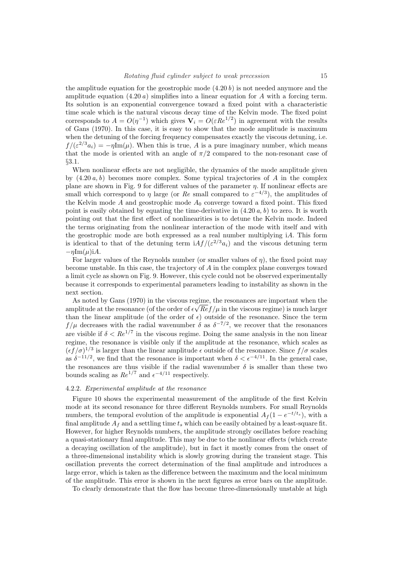the amplitude equation for the geostrophic mode  $(4.20 b)$  is not needed anymore and the amplitude equation  $(4.20 a)$  simplifies into a linear equation for A with a forcing term. Its solution is an exponential convergence toward a fixed point with a characteristic time scale which is the natural viscous decay time of the Kelvin mode. The fixed point corresponds to  $A = O(\eta^{-1})$  which gives  $V_i = O(\varepsilon Re^{1/2})$  in agreement with the results of Gans (1970). In this case, it is easy to show that the mode amplitude is maximum when the detuning of the forcing frequency compensates exactly the viscous detuning, i.e.  $f/(\varepsilon^{2/3}a_i) = -\eta \text{Im}(\mu)$ . When this is true, A is a pure imaginary number, which means that the mode is oriented with an angle of  $\pi/2$  compared to the non-resonant case of §3.1.

When nonlinear effects are not negligible, the dynamics of the mode amplitude given by  $(4.20 a, b)$  becomes more complex. Some typical trajectories of A in the complex plane are shown in Fig. 9 for different values of the parameter η. If nonlinear effects are small which correspond to  $\eta$  large (or Re small compared to  $\varepsilon^{-4/3}$ ), the amplitudes of the Kelvin mode A and geostrophic mode  $A_0$  converge toward a fixed point. This fixed point is easily obtained by equating the time-derivative in  $(4.20 a, b)$  to zero. It is worth pointing out that the first effect of nonlinearities is to detune the Kelvin mode. Indeed the terms originating from the nonlinear interaction of the mode with itself and with the geostrophic mode are both expressed as a real number multiplying iA. This form is identical to that of the detuning term  $i A f/(\varepsilon^{2/3} a_i)$  and the viscous detuning term  $-\eta \text{Im}(\mu)$ iA.

For larger values of the Reynolds number (or smaller values of  $\eta$ ), the fixed point may become unstable. In this case, the trajectory of A in the complex plane converges toward a limit cycle as shown on Fig. 9. However, this cycle could not be observed experimentally because it corresponds to experimental parameters leading to instability as shown in the next section.

As noted by Gans  $(1970)$  in the viscous regime, the resonances are important when the amplitude at the resonance (of the order of  $\epsilon \sqrt{Re f/\mu}$  in the viscous regime) is much larger than the linear amplitude (of the order of  $\epsilon$ ) outside of the resonance. Since the term  $f/\mu$  decreases with the radial wavenumber  $\delta$  as  $\delta^{-7/2}$ , we recover that the resonances are visible if  $\delta < Re^{1/7}$  in the viscous regime. Doing the same analysis in the non linear regime, the resonance is visible only if the amplitude at the resonance, which scales as  $(\epsilon f/\sigma)^{1/3}$  is larger than the linear amplitude  $\epsilon$  outside of the resonance. Since  $f/\sigma$  scales as  $\delta^{-1/2}$ , we find that the resonance is important when  $\delta < \epsilon^{-4/11}$ . In the general case, the resonances are thus visible if the radial wavenumber  $\delta$  is smaller than these two bounds scaling as  $Re^{1/7}$  and  $\epsilon^{-4/11}$  respectively.

#### 4.2.2. Experimental amplitude at the resonance

Figure 10 shows the experimental measurement of the amplitude of the first Kelvin mode at its second resonance for three different Reynolds numbers. For small Reynolds numbers, the temporal evolution of the amplitude is exponential  $A_f(1 - e^{-t/t_s})$ , with a final amplitude  $A_f$  and a settling time  $t_s$  which can be easily obtained by a least-square fit. However, for higher Reynolds numbers, the amplitude strongly oscillates before reaching a quasi-stationary final amplitude. This may be due to the nonlinear effects (which create a decaying oscillation of the amplitude), but in fact it mostly comes from the onset of a three-dimensional instability which is slowly growing during the transient stage. This oscillation prevents the correct determination of the final amplitude and introduces a large error, which is taken as the difference between the maximum and the local minimum of the amplitude. This error is shown in the next figures as error bars on the amplitude.

To clearly demonstrate that the flow has become three-dimensionally unstable at high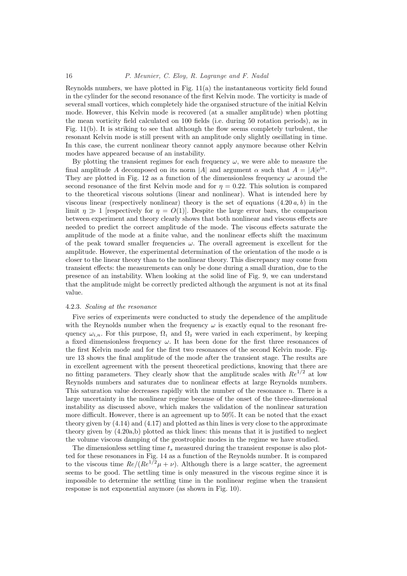Reynolds numbers, we have plotted in Fig. 11(a) the instantaneous vorticity field found in the cylinder for the second resonance of the first Kelvin mode. The vorticity is made of several small vortices, which completely hide the organised structure of the initial Kelvin mode. However, this Kelvin mode is recovered (at a smaller amplitude) when plotting the mean vorticity field calculated on 100 fields (i.e. during 50 rotation periods), as in Fig. 11(b). It is striking to see that although the flow seems completely turbulent, the resonant Kelvin mode is still present with an amplitude only slightly oscillating in time. In this case, the current nonlinear theory cannot apply anymore because other Kelvin modes have appeared because of an instability.

By plotting the transient regimes for each frequency  $\omega$ , we were able to measure the final amplitude A decomposed on its norm |A| and argument  $\alpha$  such that  $A = |A|e^{i\alpha}$ . They are plotted in Fig. 12 as a function of the dimensionless frequency  $\omega$  around the second resonance of the first Kelvin mode and for  $n = 0.22$ . This solution is compared to the theoretical viscous solutions (linear and nonlinear). What is intended here by viscous linear (respectively nonlinear) theory is the set of equations  $(4.20 a, b)$  in the limit  $\eta \gg 1$  [respectively for  $\eta = O(1)$ ]. Despite the large error bars, the comparison between experiment and theory clearly shows that both nonlinear and viscous effects are needed to predict the correct amplitude of the mode. The viscous effects saturate the amplitude of the mode at a finite value, and the nonlinear effects shift the maximum of the peak toward smaller frequencies  $\omega$ . The overall agreement is excellent for the amplitude. However, the experimental determination of the orientation of the mode  $\alpha$  is closer to the linear theory than to the nonlinear theory. This discrepancy may come from transient effects: the measurements can only be done during a small duration, due to the presence of an instability. When looking at the solid line of Fig. 9, we can understand that the amplitude might be correctly predicted although the argument is not at its final value.

#### 4.2.3. Scaling at the resonance

Five series of experiments were conducted to study the dependence of the amplitude with the Reynolds number when the frequency  $\omega$  is exactly equal to the resonant frequency  $\omega_{i,n}$ . For this purpose,  $\Omega_1$  and  $\Omega_2$  were varied in each experiment, by keeping a fixed dimensionless frequency  $\omega$ . It has been done for the first three resonances of the first Kelvin mode and for the first two resonances of the second Kelvin mode. Figure 13 shows the final amplitude of the mode after the transient stage. The results are in excellent agreement with the present theoretical predictions, knowing that there are no fitting parameters. They clearly show that the amplitude scales with  $Re^{1/2}$  at low Reynolds numbers and saturates due to nonlinear effects at large Reynolds numbers. This saturation value decreases rapidly with the number of the resonance  $n$ . There is a large uncertainty in the nonlinear regime because of the onset of the three-dimensional instability as discussed above, which makes the validation of the nonlinear saturation more difficult. However, there is an agreement up to 50%. It can be noted that the exact theory given by (4.14) and (4.17) and plotted as thin lines is very close to the approximate theory given by (4.20a,b) plotted as thick lines: this means that it is justified to neglect the volume viscous damping of the geostrophic modes in the regime we have studied.

The dimensionless settling time  $t_s$  measured during the transient response is also plotted for these resonances in Fig. 14 as a function of the Reynolds number. It is compared to the viscous time  $Re/(Re^{1/2}\mu+\nu)$ . Although there is a large scatter, the agreement seems to be good. The settling time is only measured in the viscous regime since it is impossible to determine the settling time in the nonlinear regime when the transient response is not exponential anymore (as shown in Fig. 10).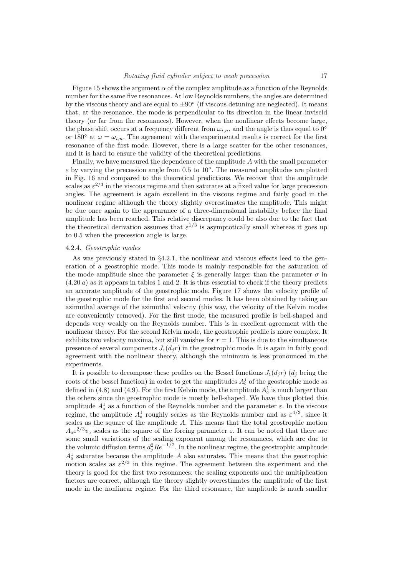Figure 15 shows the argument  $\alpha$  of the complex amplitude as a function of the Reynolds number for the same five resonances. At low Reynolds numbers, the angles are determined by the viscous theory and are equal to  $\pm 90^\circ$  (if viscous detuning are neglected). It means that, at the resonance, the mode is perpendicular to its direction in the linear inviscid theory (or far from the resonances). However, when the nonlinear effects become large, the phase shift occurs at a frequency different from  $\omega_{i,n}$ , and the angle is thus equal to 0° or 180 $\degree$  at  $\omega = \omega_{i,n}$ . The agreement with the experimental results is correct for the first resonance of the first mode. However, there is a large scatter for the other resonances, and it is hard to ensure the validity of the theoretical predictions.

Finally, we have measured the dependence of the amplitude A with the small parameter  $\varepsilon$  by varying the precession angle from 0.5 to 10 $^{\circ}$ . The measured amplitudes are plotted in Fig. 16 and compared to the theoretical predictions. We recover that the amplitude scales as  $\varepsilon^{2/3}$  in the viscous regime and then saturates at a fixed value for large precession angles. The agreement is again excellent in the viscous regime and fairly good in the nonlinear regime although the theory slightly overestimates the amplitude. This might be due once again to the appearance of a three-dimensional instability before the final amplitude has been reached. This relative discrepancy could be also due to the fact that the theoretical derivation assumes that  $\varepsilon^{1/3}$  is asymptotically small whereas it goes up to 0.5 when the precession angle is large.

#### 4.2.4. Geostrophic modes

As was previously stated in §4.2.1, the nonlinear and viscous effects leed to the generation of a geostrophic mode. This mode is mainly responsible for the saturation of the mode amplitude since the parameter  $\xi$  is generally larger than the parameter  $\sigma$  in  $(4.20 a)$  as it appears in tables 1 and 2. It is thus essential to check if the theory predicts an accurate amplitude of the geostrophic mode. Figure 17 shows the velocity profile of the geostrophic mode for the first and second modes. It has been obtained by taking an azimuthal average of the azimuthal velocity (this way, the velocity of the Kelvin modes are conveniently removed). For the first mode, the measured profile is bell-shaped and depends very weakly on the Reynolds number. This is in excellent agreement with the nonlinear theory. For the second Kelvin mode, the geostrophic profile is more complex. It exhibits two velocity maxima, but still vanishes for  $r = 1$ . This is due to the simultaneous presence of several components  $J_1(d_j r)$  in the geostrophic mode. It is again in fairly good agreement with the nonlinear theory, although the minimum is less pronounced in the experiments.

It is possible to decompose these profiles on the Bessel functions  $J_1(d_i r)$  ( $d_i$  being the roots of the bessel function) in order to get the amplitudes  $A_0^j$  of the geostrophic mode as defined in (4.8) and (4.9). For the first Kelvin mode, the amplitude  $A_0^1$  is much larger than the others since the geostrophic mode is mostly bell-shaped. We have thus plotted this amplitude  $A_0^1$  as a function of the Reynolds number and the parameter  $\varepsilon$ . In the viscous regime, the amplitude  $A_0^1$  roughly scales as the Reynolds number and as  $\varepsilon^{4/3}$ , since it scales as the square of the amplitude A. This means that the total geostrophic motion  $A_0 \varepsilon^{2/3} v_0$  scales as the square of the forcing parameter  $\varepsilon$ . It can be noted that there are some small variations of the scaling exponent among the resonances, which are due to the volumic diffusion terms  $d_j^2 Re^{-1/2}$ . In the nonlinear regime, the geostrophic amplitude  $A_0^1$  saturates because the amplitude A also saturates. This means that the geostrophic motion scales as  $\varepsilon^{2/3}$  in this regime. The agreement between the experiment and the theory is good for the first two resonances: the scaling exponents and the multiplication factors are correct, although the theory slightly overestimates the amplitude of the first mode in the nonlinear regime. For the third resonance, the amplitude is much smaller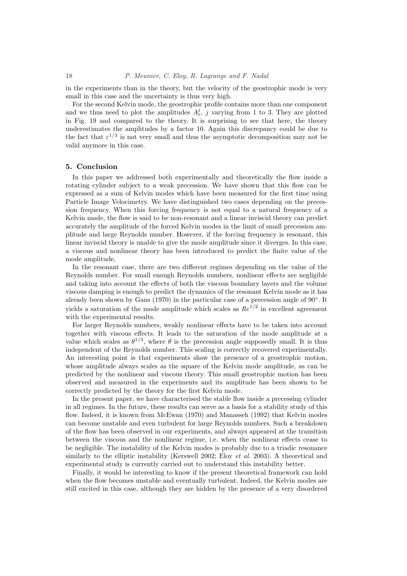in the experiments than in the theory, but the velocity of the geostrophic mode is very small in this case and the uncertainty is thus very high.

For the second Kelvin mode, the geostrophic profile contains more than one component and we thus need to plot the amplitudes  $A_0^j$ , j varying from 1 to 3. They are plotted in Fig. 19 and compared to the theory. It is surprising to see that here, the theory underestimates the amplitudes by a factor 10. Again this discrepancy could be due to the fact that  $\varepsilon^{1/3}$  is not very small and thus the asymptotic decomposition may not be valid anymore in this case.

#### 5. Conclusion

In this paper we addressed both experimentally and theoretically the flow inside a rotating cylinder subject to a weak precession. We have shown that this flow can be expressed as a sum of Kelvin modes which have been measured for the first time using Particle Image Velocimetry. We have distinguished two cases depending on the precession frequency. When this forcing frequency is not equal to a natural frequency of a Kelvin mode, the flow is said to be non-resonant and a linear inviscid theory can predict accurately the amplitude of the forced Kelvin modes in the limit of small precession amplitude and large Reynolds number. However, if the forcing frequency is resonant, this linear inviscid theory is unable to give the mode amplitude since it diverges. In this case, a viscous and nonlinear theory has been introduced to predict the finite value of the mode amplitude.

In the resonant case, there are two different regimes depending on the value of the Reynolds number. For small enough Reynolds numbers, nonlinear effects are negligible and taking into account the effects of both the viscous boundary layers and the volume viscous damping is enough to predict the dynamics of the resonant Kelvin mode as it has already been shown by Gans (1970) in the particular case of a precession angle of 90°. It yields a saturation of the mode amplitude which scales as  $Re^{1/2}$  in excellent agreement with the experimental results.

For larger Reynolds numbers, weakly nonlinear effects have to be taken into account together with viscous effects. It leads to the saturation of the mode amplitude at a value which scales as  $\theta^{1/3}$ , where  $\theta$  is the precession angle supposedly small. It is thus independent of the Reynolds number. This scaling is correctly recovered experimentally. An interesting point is that experiments show the presence of a geostrophic motion, whose amplitude always scales as the square of the Kelvin mode amplitude, as can be predicted by the nonlinear and viscous theory. This small geostrophic motion has been observed and measured in the experiments and its amplitude has been shown to be correctly predicted by the theory for the first Kelvin mode.

In the present paper, we have characterised the stable flow inside a precessing cylinder in all regimes. In the future, these results can serve as a basis for a stability study of this flow. Indeed, it is known from McEwan (1970) and Manasseh (1992) that Kelvin modes can become unstable and even turbulent for large Reynolds numbers. Such a breakdown of the flow has been observed in our experiments, and always appeared at the transition between the viscous and the nonlinear regime, i.e. when the nonlinear effects cease to be negligible. The instability of the Kelvin modes is probably due to a triadic resonance similarly to the elliptic instability (Kerswell 2002; Eloy *et al.* 2003). A theoretical and experimental study is currently carried out to understand this instability better.

Finally, it would be interesting to know if the present theoretical framework can hold when the flow becomes unstable and eventually turbulent. Indeed, the Kelvin modes are still excited in this case, although they are hidden by the presence of a very disordered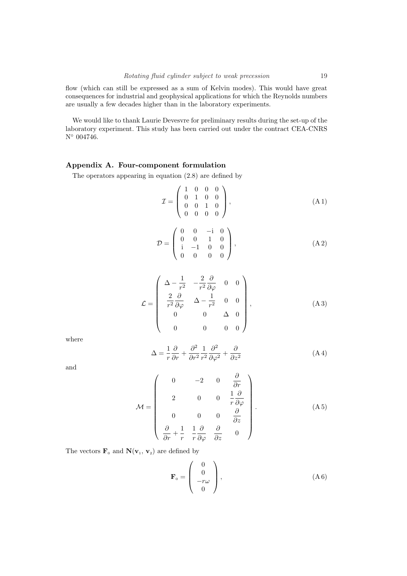flow (which can still be expressed as a sum of Kelvin modes). This would have great consequences for industrial and geophysical applications for which the Reynolds numbers are usually a few decades higher than in the laboratory experiments.

We would like to thank Laurie Devesvre for preliminary results during the set-up of the laboratory experiment. This study has been carried out under the contract CEA-CNRS N◦ 004746.

## Appendix A. Four-component formulation

The operators appearing in equation (2.8) are defined by

$$
\mathcal{I} = \left( \begin{array}{cccc} 1 & 0 & 0 & 0 \\ 0 & 1 & 0 & 0 \\ 0 & 0 & 1 & 0 \\ 0 & 0 & 0 & 0 \end{array} \right), \tag{A1}
$$

$$
\mathcal{D} = \left( \begin{array}{cccc} 0 & 0 & -\mathrm{i} & 0 \\ 0 & 0 & 1 & 0 \\ \mathrm{i} & -1 & 0 & 0 \\ 0 & 0 & 0 & 0 \end{array} \right), \tag{A2}
$$

$$
\mathcal{L} = \begin{pmatrix}\n\Delta - \frac{1}{r^2} & -\frac{2}{r^2} \frac{\partial}{\partial \varphi} & 0 & 0 \\
\frac{2}{r^2} \frac{\partial}{\partial \varphi} & \Delta - \frac{1}{r^2} & 0 & 0 \\
0 & 0 & \Delta & 0 \\
0 & 0 & 0 & 0\n\end{pmatrix},
$$
\n(A3)

where

$$
\Delta = \frac{1}{r} \frac{\partial}{\partial r} + \frac{\partial^2}{\partial r^2} \frac{1}{r^2} \frac{\partial^2}{\partial \varphi^2} + \frac{\partial}{\partial z^2}
$$
 (A4)

and

$$
\mathcal{M} = \begin{pmatrix}\n0 & -2 & 0 & \frac{\partial}{\partial r} \\
2 & 0 & 0 & \frac{1}{r} \frac{\partial}{\partial \varphi} \\
0 & 0 & 0 & \frac{\partial}{\partial z} \\
\frac{\partial}{\partial r} + \frac{1}{r} & \frac{1}{r} \frac{\partial}{\partial \varphi} & \frac{\partial}{\partial z} & 0\n\end{pmatrix} .
$$
\n(A5)

The vectors  $\mathbf{F}_0$  and  $\mathbf{N}(\mathbf{v}_1, \mathbf{v}_2)$  are defined by

$$
\mathbf{F}_0 = \begin{pmatrix} 0 \\ 0 \\ -r\omega \\ 0 \end{pmatrix}, \tag{A 6}
$$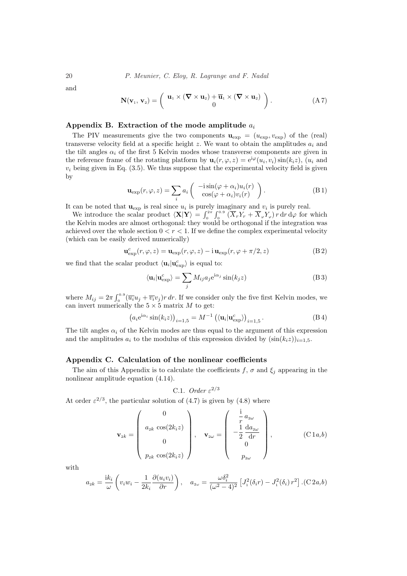and

$$
\mathbf{N}(\mathbf{v}_1, \mathbf{v}_2) = \left( \begin{array}{c} \mathbf{u}_1 \times (\nabla \times \mathbf{u}_2) + \overline{\mathbf{u}}_1 \times (\nabla \times \mathbf{u}_2) \\ 0 \end{array} \right). \tag{A 7}
$$

## Appendix B. Extraction of the mode amplitude  $a_i$

The PIV measurements give the two components  $\mathbf{u}_{\exp} = (u_{\exp}, v_{\exp})$  of the (real) transverse velocity field at a specific height  $z$ . We want to obtain the amplitudes  $a_i$  and the tilt angles  $\alpha_i$  of the first 5 Kelvin modes whose transverse components are given in the reference frame of the rotating platform by  $\mathbf{u}_i(r,\varphi,z) = e^{i\varphi}(u_i,v_i)\sin(k_i z)$ ,  $(u_i \text{ and }$  $v_i$  being given in Eq. (3.5). We thus suppose that the experimental velocity field is given by  $\overline{a}$  $\mathbf{r}$ 

$$
\mathbf{u}_{\exp}(r,\varphi,z) = \sum_{i} a_i \begin{pmatrix} -i\sin(\varphi + \alpha_i)u_i(r) \\ \cos(\varphi + \alpha_i)v_i(r) \end{pmatrix}.
$$
 (B1)

It can be noted that  $\mathbf{u}_{\text{exp}}$  is real since  $u_i$  is purely imaginary and  $v_i$  is purely real.  $\begin{array}{c} \gamma_{\rm{max}}\ \hline \gamma_{\rm{max}}\ \end{array}$ 

can be noted that  $\mathbf{u}_{\text{exp}}$  is real since  $u_i$  is purely<br>We introduce the scalar product  $\langle \mathbf{X} | \mathbf{Y} \rangle = \int_{0}^{2\pi}$ 0  $\int_{0}^{\infty} \left( \overline{X}_{r} Y_{r} + \overline{X}_{\varphi} Y_{\varphi} \right) r \, dr \, d\varphi$  for which the Kelvin modes are almost orthogonal: they would be orthogonal if the integration was achieved over the whole section  $0 < r < 1$ . If we define the complex experimental velocity (which can be easily derived numerically)

$$
\mathbf{u}_{\exp}^{c}(r,\varphi,z) = \mathbf{u}_{\exp}(r,\varphi,z) - i \mathbf{u}_{\exp}(r,\varphi + \pi/2,z)
$$
 (B2)

we find that the scalar product  $\langle \mathbf{u}_i | \mathbf{u}_{exp}^c \rangle$  is equal to:

$$
\langle \mathbf{u}_i | \mathbf{u}_{\text{exp}}^c \rangle = \sum_j M_{ij} a_j e^{i\alpha_j} \sin(k_j z) \tag{B 3}
$$

where  $M_{ij} = 2\pi \int_0^{0.9}$  $\int_0^{0.9} (\overline{u_i}u_j + \overline{v_i}v_j)r dr$ . If we consider only the five first Kelvin modes, we can invert numerically the  $5 \times 5$  matrix M to get:

$$
\left(a_i e^{i\alpha_i} \sin(k_i z)\right)_{i=1,5} = M^{-1} \left(\langle \mathbf{u}_i | \mathbf{u}_{\text{exp}}^c \rangle\right)_{i=1,5}.
$$
 (B4)

The tilt angles  $\alpha_i$  of the Kelvin modes are thus equal to the argument of this expression and the amplitudes  $a_i$  to the modulus of this expression divided by  $(\sin(k_i z))_{i=1,5}$ .

## Appendix C. Calculation of the nonlinear coefficients

The aim of this Appendix is to calculate the coefficients f,  $\sigma$  and  $\xi_i$  appearing in the nonlinear amplitude equation (4.14).

C.1. Order 
$$
\varepsilon^{2/3}
$$

At order  $\varepsilon^{2/3}$ , the particular solution of (4.7) is given by (4.8) where

$$
\mathbf{v}_{2k} = \begin{pmatrix} 0 \\ a_{2k} \cos(2k_i z) \\ 0 \\ p_{2k} \cos(2k_i z) \end{pmatrix}, \quad \mathbf{v}_{2\omega} = \begin{pmatrix} \frac{i}{r} a_{2\omega} \\ -\frac{1}{2} \frac{d a_{2\omega}}{dr} \\ 0 \\ p_{2\omega} \end{pmatrix}, \quad (C1a, b)
$$

with

$$
a_{2k} = \frac{ik_i}{\omega} \left( v_i w_i - \frac{1}{2k_i} \frac{\partial (u_i v_i)}{\partial r} \right), \quad a_{2\omega} = \frac{\omega \delta_i^2}{(\omega^2 - 4)^2} \left[ J_1^2(\delta_i r) - J_1^2(\delta_i) r^2 \right].(C 2a,b)
$$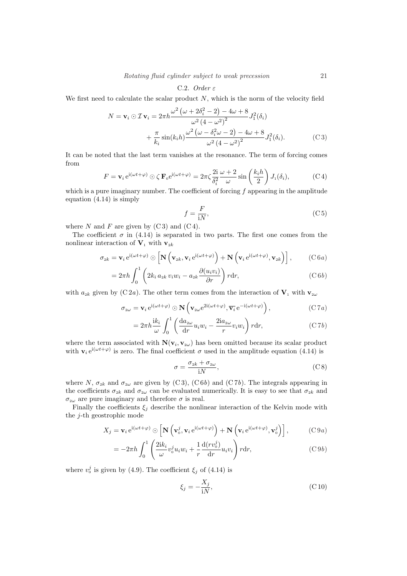## C.2. Order  $\varepsilon$

We first need to calculate the scalar product  $N$ , which is the norm of the velocity field

$$
N = \mathbf{v}_i \odot \mathcal{I} \mathbf{v}_i = 2\pi h \frac{\omega^2 (\omega + 2\delta_i^2 - 2) - 4\omega + 8}{\omega^2 (4 - \omega^2)^2} J_1^2(\delta_i)
$$
  
+ 
$$
\frac{\pi}{k_i} \sin(k_i h) \frac{\omega^2 (\omega - \delta_i^2 \omega - 2) - 4\omega + 8}{\omega^2 (4 - \omega^2)^2} J_1^2(\delta_i).
$$
 (C3)

It can be noted that the last term vanishes at the resonance. The term of forcing comes from  $\mathbf{r}$ 

$$
F = \mathbf{v}_i e^{i(\omega t + \varphi)} \odot \zeta \mathbf{F}_0 e^{i(\omega t + \varphi)} = 2\pi \zeta \frac{2i}{\delta_i^2} \frac{\omega + 2}{\omega} \sin\left(\frac{k_i h}{2}\right) J_1(\delta_i), \tag{C.4}
$$

which is a pure imaginary number. The coefficient of forcing  $f$  appearing in the amplitude equation (4.14) is simply

$$
f = \frac{F}{iN},\tag{C.5}
$$

where N and F are given by  $(C3)$  and  $(C4)$ .

The coefficient  $\sigma$  in (4.14) is separated in two parts. The first one comes from the nonlinear interaction of  $\mathbf{V}_1$  with  $\mathbf{v}_{2k}$ 

$$
\sigma_{2k} = \mathbf{v}_i e^{i(\omega t + \varphi)} \odot \left[ \mathbf{N} \left( \mathbf{v}_{2k}, \mathbf{v}_i e^{i(\omega t + \varphi)} \right) + \mathbf{N} \left( \mathbf{v}_i e^{i(\omega t + \varphi)}, \mathbf{v}_{2k} \right) \right], \quad (C 6 a)
$$

$$
=2\pi h \int_0^1 \left(2k_i a_{2k} v_i w_i - a_{2k} \frac{\partial(u_i v_i)}{\partial r}\right) r dr,
$$
 (C6*b*)

with  $a_{2k}$  given by (C2a). The other term comes from the interaction of  $V_1$  with  $v_{2\omega}$ 

$$
\sigma_{2\omega} = \mathbf{v}_i e^{i(\omega t + \varphi)} \odot \mathbf{N} \left( \mathbf{v}_{2\omega} e^{2i(\omega t + \varphi)}, \overline{\mathbf{v}_i} e^{-i(\omega t + \varphi)} \right), \tag{C7a}
$$

$$
=2\pi h \frac{ik_i}{\omega} \int_0^1 \left(\frac{da_{2\omega}}{dr} u_i w_i - \frac{2ia_{2\omega}}{r} v_i w_i\right) r dr, \tag{C7b}
$$

where the term associated with  $\mathbf{N}(\mathbf{v}_i, \mathbf{v}_{2\omega})$  has been omitted because its scalar product with  $\mathbf{v}_i e^{i(\omega t + \varphi)}$  is zero. The final coefficient  $\sigma$  used in the amplitude equation (4.14) is

$$
\sigma = \frac{\sigma_{2k} + \sigma_{2\omega}}{\mathrm{i}N},\tag{C8}
$$

where N,  $\sigma_{2k}$  and  $\sigma_{2\omega}$  are given by (C3), (C6b) and (C7b). The integrals appearing in the coefficients  $\sigma_{2k}$  and  $\sigma_{2\omega}$  can be evaluated numerically. It is easy to see that  $\sigma_{2k}$  and  $\sigma_{2\omega}$  are pure imaginary and therefore  $\sigma$  is real.

Finally the coefficients  $\xi_j$  describe the nonlinear interaction of the Kelvin mode with the j-th geostrophic mode

$$
X_j = \mathbf{v}_i e^{i(\omega t + \varphi)} \odot \left[ \mathbf{N} \left( \mathbf{v}_0^j, \mathbf{v}_i e^{i(\omega t + \varphi)} \right) + \mathbf{N} \left( \mathbf{v}_i e^{i(\omega t + \varphi)}, \mathbf{v}_0^j \right) \right],
$$
 (C9*a*)

$$
= -2\pi h \int_0^1 \left( \frac{2ik_i}{\omega} v_0^j u_i w_i + \frac{1}{r} \frac{d(rv_0^j)}{dr} u_i v_i \right) r dr, \tag{C9b}
$$

where  $v_0^j$  is given by (4.9). The coefficient  $\xi_j$  of (4.14) is

$$
\xi_j = -\frac{X_j}{iN},\tag{C10}
$$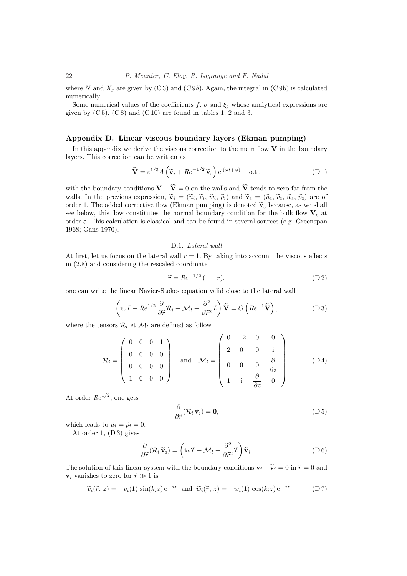where N and  $X_i$  are given by (C3) and (C9b). Again, the integral in (C9b) is calculated numerically.

Some numerical values of the coefficients f,  $\sigma$  and  $\xi_i$  whose analytical expressions are given by  $(C 5)$ ,  $(C 8)$  and  $(C 10)$  are found in tables 1, 2 and 3.

## Appendix D. Linear viscous boundary layers (Ekman pumping)

In this appendix we derive the viscous correction to the main flow  $V$  in the boundary layers. This correction can be written as

$$
\widetilde{\mathbf{V}} = \varepsilon^{1/3} A \left( \widetilde{\mathbf{v}}_i + R e^{-1/2} \widetilde{\mathbf{v}}_3 \right) e^{i(\omega t + \varphi)} + \text{o.t.,}
$$
\n(D1)

with the boundary conditions  $\mathbf{V} + \widetilde{\mathbf{V}} = 0$  on the walls and  $\widetilde{\mathbf{V}}$  tends to zero far from the walls. In the previous expression,  $\tilde{\mathbf{v}}_i = (\tilde{u}_i, \tilde{v}_i, \tilde{w}_i, \tilde{p}_i)$  and  $\tilde{\mathbf{v}}_3 = (\tilde{u}_3, \tilde{v}_3, \tilde{w}_3, \tilde{p}_3)$  are of order 1. The added corrective flow (Ekman pumping) is denoted  $\tilde{\mathbf{v}}_3$  because, as we shall see below, this flow constitutes the normal boundary condition for the bulk flow  $V_3$  at order  $\varepsilon$ . This calculation is classical and can be found in several sources (e.g. Greenspan 1968; Gans 1970).

## D.1. Lateral wall

At first, let us focus on the lateral wall  $r = 1$ . By taking into account the viscous effects in (2.8) and considering the rescaled coordinate

$$
\widetilde{r} = Re^{-1/2} (1 - r),\tag{D.2}
$$

one can write the linear Navier-Stokes equation valid close to the lateral wall

$$
\left(i\omega \mathcal{I} - Re^{1/2} \frac{\partial}{\partial \tilde{r}} \mathcal{R}_l + \mathcal{M}_l - \frac{\partial^2}{\partial \tilde{r}^2} \mathcal{I}\right) \tilde{\mathbf{V}} = O\left(Re^{-1} \tilde{\mathbf{V}}\right),\tag{D3}
$$

where the tensors  $\mathcal{R}_l$  et  $\mathcal{M}_l$  are defined as follow

$$
\mathcal{R}_l = \begin{pmatrix} 0 & 0 & 0 & 1 \\ 0 & 0 & 0 & 0 \\ 0 & 0 & 0 & 0 \\ 1 & 0 & 0 & 0 \end{pmatrix} \text{ and } \mathcal{M}_l = \begin{pmatrix} 0 & -2 & 0 & 0 \\ 2 & 0 & 0 & i \\ 0 & 0 & 0 & \frac{\partial}{\partial z} \\ 1 & i & \frac{\partial}{\partial z} & 0 \end{pmatrix}.
$$
 (D4)

At order  $Re^{1/2}$ , one gets

$$
\frac{\partial}{\partial \widetilde{r}} (\mathcal{R}_l \widetilde{\mathbf{v}}_i) = \mathbf{0},\tag{D.5}
$$

which leads to  $\widetilde{u}_i = \widetilde{p}_i = 0$ . At order 1, (D 3) gives

$$
\frac{\partial}{\partial \widetilde{r}} (\mathcal{R}_l \widetilde{\mathbf{v}}_3) = \left( i\omega \mathcal{I} + \mathcal{M}_l - \frac{\partial^2}{\partial \widetilde{r}^2} \mathcal{I} \right) \widetilde{\mathbf{v}}_i.
$$
 (D 6)

The solution of this linear system with the boundary conditions  $\mathbf{v}_i + \widetilde{\mathbf{v}}_i = 0$  in  $\widetilde{r} = 0$  and  $\tilde{\mathbf{v}}_i$  vanishes to zero for  $\tilde{r} \gg 1$  is

$$
\widetilde{v}_i(\widetilde{r}, z) = -v_i(1) \sin(k_i z) e^{-\kappa \widetilde{r}} \text{ and } \widetilde{w}_i(\widetilde{r}, z) = -w_i(1) \cos(k_i z) e^{-\kappa \widetilde{r}} \tag{D.7}
$$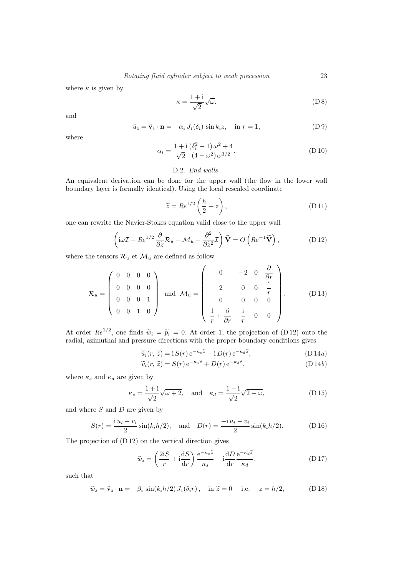where  $\kappa$  is given by

$$
\kappa = \frac{1+i}{\sqrt{2}} \sqrt{\omega}.\tag{D 8}
$$

and

$$
\widetilde{u}_3 = \widetilde{\mathbf{v}}_3 \cdot \mathbf{n} = -\alpha_i J_1(\delta_i) \sin k_i z, \quad \text{in } r = 1,
$$
\n(D9)

where

$$
\alpha_i = \frac{1 + i}{\sqrt{2}} \frac{(\delta_i^2 - 1)\omega^2 + 4}{(4 - \omega^2)\omega^{3/2}}.
$$
 (D.10)

## D.2. End walls

An equivalent derivation can be done for the upper wall (the flow in the lower wall boundary layer is formally identical). Using the local rescaled coordinate

$$
\widetilde{z} = Re^{1/2} \left( \frac{h}{2} - z \right),\tag{D.11}
$$

one can rewrite the Navier-Stokes equation valid close to the upper wall

$$
\left(i\omega \mathcal{I} - Re^{1/2} \frac{\partial}{\partial \tilde{z}} \mathcal{R}_u + \mathcal{M}_u - \frac{\partial^2}{\partial \tilde{z}^2} \mathcal{I}\right) \tilde{\mathbf{V}} = O\left(Re^{-1} \tilde{\mathbf{V}}\right),\tag{D.12}
$$

where the tensors  $\mathcal{R}_u$  et  $\mathcal{M}_u$  are defined as follow

$$
\mathcal{R}_u = \begin{pmatrix} 0 & 0 & 0 & 0 \\ 0 & 0 & 0 & 0 \\ 0 & 0 & 0 & 1 \\ 0 & 0 & 1 & 0 \end{pmatrix} \text{ and } \mathcal{M}_u = \begin{pmatrix} 0 & -2 & 0 & \frac{\partial}{\partial r} \\ 2 & 0 & 0 & \frac{\mathrm{i}}{r} \\ 0 & 0 & 0 & 0 \\ \frac{1}{r} + \frac{\partial}{\partial r} & \frac{\mathrm{i}}{r} & 0 & 0 \end{pmatrix} . \tag{D13}
$$

At order  $Re^{1/2}$ , one finds  $\tilde{w}_i = \tilde{p}_i = 0$ . At order 1, the projection of (D 12) onto the radial, azimuthal and pressure directions with the proper boundary conditions gives

$$
\widetilde{u}_i(r,\,\widetilde{z}) = i\,S(r)\,\mathrm{e}^{-\kappa_s\widetilde{z}} - i\,D(r)\,\mathrm{e}^{-\kappa_d\widetilde{z}},\tag{D\,14a}
$$

$$
\widetilde{v}_i(r,\,\widetilde{z}) = S(r) \,\mathrm{e}^{-\kappa_s \widetilde{z}} + D(r) \,\mathrm{e}^{-\kappa_d \widetilde{z}},\tag{D.14b}
$$

where  $\kappa_s$  and  $\kappa_d$  are given by

$$
\kappa_s = \frac{1+i}{\sqrt{2}} \sqrt{\omega + 2}, \quad \text{and} \quad \kappa_d = \frac{1-i}{\sqrt{2}} \sqrt{2 - \omega}, \tag{D.15}
$$

and where  $S$  and  $D$  are given by

$$
S(r) = \frac{iu_i - v_i}{2} \sin(k_i h/2), \text{ and } D(r) = \frac{-iu_i - v_i}{2} \sin(k_i h/2). \tag{D.16}
$$

The projection of (D 12) on the vertical direction gives

$$
\widetilde{w}_3 = \left(\frac{2\mathbf{i}S}{r} + \mathbf{i}\frac{\mathbf{d}S}{\mathbf{d}r}\right)\frac{\mathbf{e}^{-\kappa_s \widetilde{z}}}{\kappa_s} - \mathbf{i}\frac{\mathbf{d}D}{\mathbf{d}r}\frac{\mathbf{e}^{-\kappa_d \widetilde{z}}}{\kappa_d},\tag{D.17}
$$

such that

$$
\widetilde{w}_3 = \widetilde{\mathbf{v}}_3 \cdot \mathbf{n} = -\beta_i \sin(k_i h/2) J_1(\delta_i r), \quad \text{in } \widetilde{z} = 0 \quad \text{i.e.} \quad z = h/2,
$$
 (D18)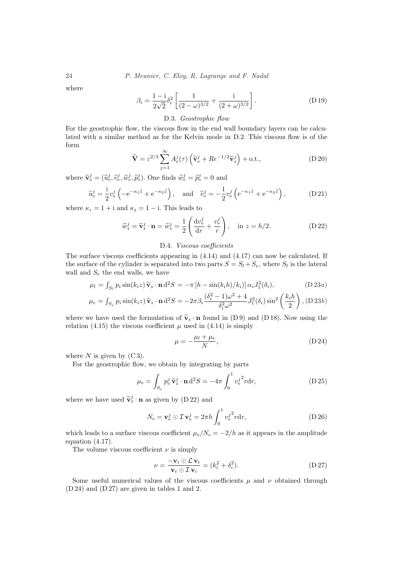where

$$
\beta_i = \frac{1 - i}{2\sqrt{2}} \delta_i^2 \left[ \frac{1}{(2 - \omega)^{3/2}} + \frac{i}{(2 + \omega)^{3/2}} \right].
$$
 (D.19)

D.3. Geostrophic flow

For the geostrophic flow, the viscous flow in the end wall boundary layers can be calculated with a similar method as for the Kelvin mode in D.2. This viscous flow is of the form

$$
\widetilde{\mathbf{V}} = \varepsilon^{2/3} \sum_{j=1}^{\infty} A_0^j(\tau) \left( \widetilde{\mathbf{v}}_0^j + Re^{-1/2} \widetilde{\mathbf{v}}_4^j \right) + \text{o.t.,}
$$
\n(D 20)

where  $\tilde{\mathbf{v}}_0^j = (\tilde{u}_0^j, \tilde{v}_0^j, \tilde{w}_0^j, \tilde{p}_0^j)$ . One finds  $\tilde{w}_0^j = \tilde{p}_0^j = 0$  and

$$
\widetilde{u}_0^j = \frac{1}{2} v_0^j \left( -e^{-\kappa_1 \widetilde{z}} + e^{-\kappa_2 \widetilde{z}} \right), \quad \text{and} \quad \widetilde{v}_0^j = -\frac{1}{2} v_0^j \left( e^{-\kappa_1 \widetilde{z}} + e^{-\kappa_2 \widetilde{z}} \right), \tag{D.21}
$$

where  $\kappa_1 = 1 + i$  and  $\kappa_2 = 1 - i$ . This leads to

$$
\widetilde{w}_4^j = \widetilde{\mathbf{v}}_4^j \cdot \mathbf{n} = \widetilde{w}_4^j = \frac{1}{2} \left( \frac{\mathrm{d}v_0^j}{\mathrm{d}r} + \frac{v_0^j}{r} \right), \quad \text{in } z = h/2.
$$
 (D.22)

## D.4. Viscous coefficients

The surface viscous coefficients appearing in (4.14) and (4.17) can now be calculated. If the surface of the cylinder is separated into two parts  $S = S_l + S_e$ , where  $S_l$  is the lateral wall and  $S_e$  the end walls, we have

$$
\mu_l = \int_{S_l} p_i \sin(k_i z) \widetilde{\mathbf{v}}_3 \cdot \mathbf{n} d^2 S = -\pi \left[ h - \sin(k_i h)/k_i \right] \alpha_i J_1^2(\delta_i), \tag{D.23a}
$$

$$
\mu_e = \int_{S_e} p_i \sin(k_i z) \tilde{\mathbf{v}}_3 \cdot \mathbf{n} d^2 S = -2\pi \beta_i \frac{(\delta_i^2 - 1)\omega^2 + 4}{\delta_i^2 \omega^2} J_1^2(\delta_i) \sin^2\left(\frac{k_i h}{2}\right), \text{(D 23b)}
$$

where we have used the formulation of  $\tilde{\mathbf{v}}_3 \cdot \mathbf{n}$  found in (D 9) and (D 18). Now using the relation (4.15) the viscous coefficient  $\mu$  used in (4.14) is simply

$$
\mu = -\frac{\mu_l + \mu_e}{N},\tag{D.24}
$$

where  $N$  is given by  $(C3)$ .

For the geostrophic flow, we obtain by integrating by parts

$$
\mu_0 = \int_{S_e} p_0^j \tilde{\mathbf{v}}_4^j \cdot \mathbf{n} d^2 S = -4\pi \int_0^1 v_0^j{}^2 r dr,
$$
 (D 25)

where we have used  $\tilde{\mathbf{v}}_4^j \cdot \mathbf{n}$  as given by (D 22) and

$$
N_0 = \mathbf{v}_0^j \odot \mathcal{I} \mathbf{v}_0^j = 2\pi h \int_0^1 v_0^{j^2} r dr,
$$
 (D 26)

which leads to a surface viscous coefficient  $\mu_0/N_0 = -2/h$  as it appears in the amplitude equation (4.17).

The volume viscous coefficient  $\nu$  is simply

$$
\nu = \frac{-\mathbf{v}_i \odot \mathcal{L} \mathbf{v}_i}{\mathbf{v}_i \odot \mathcal{I} \mathbf{v}_i} = (k_i^2 + \delta_i^2). \tag{D.27}
$$

Some useful numerical values of the viscous coefficients  $\mu$  and  $\nu$  obtained through (D 24) and (D 27) are given in tables 1 and 2.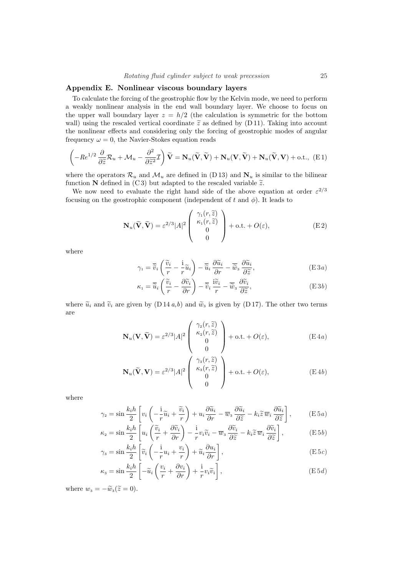## Appendix E. Nonlinear viscous boundary layers

To calculate the forcing of the geostrophic flow by the Kelvin mode, we need to perform a weakly nonlinear analysis in the end wall boundary layer. We choose to focus on the upper wall boundary layer  $z = h/2$  (the calculation is symmetric for the bottom wall) using the rescaled vertical coordinate  $\tilde{z}$  as defined by (D 11). Taking into account the nonlinear effects and considering only the forcing of geostrophic modes of angular frequency  $\omega = 0$ , the Navier-Stokes equation reads

$$
\left(-Re^{1/2}\frac{\partial}{\partial \tilde{z}}\mathcal{R}_u + \mathcal{M}_u - \frac{\partial^2}{\partial \tilde{z}^2}\mathcal{I}\right)\tilde{\mathbf{V}} = \mathbf{N}_u(\tilde{\mathbf{V}}, \tilde{\mathbf{V}}) + \mathbf{N}_u(\mathbf{V}, \tilde{\mathbf{V}}) + \mathbf{N}_u(\tilde{\mathbf{V}}, \mathbf{V}) + \text{o.t., (E1)}
$$

where the operators  $\mathcal{R}_u$  and  $\mathcal{M}_u$  are defined in (D 13) and  $\mathbf{N}_u$  is similar to the bilinear function N defined in (C3) but adapted to the rescaled variable  $\tilde{z}$ .

We now need to evaluate the right hand side of the above equation at order  $\varepsilon^{2/3}$ focusing on the geostrophic component (independent of t and  $\phi$ ). It leads to

$$
\mathbf{N}_{u}(\widetilde{\mathbf{V}}, \widetilde{\mathbf{V}}) = \varepsilon^{2/3} |A|^{2} \begin{pmatrix} \gamma_{1}(r, \widetilde{z}) \\ \kappa_{1}(r, \widetilde{z}) \\ 0 \\ 0 \end{pmatrix} + \text{o.t.} + O(\varepsilon), \tag{E2}
$$

where

$$
\gamma_1 = \overline{\widetilde{v}}_i \left( \frac{\widetilde{v}_i}{r} - \frac{i}{r} \widetilde{u}_i \right) - \overline{\widetilde{u}}_i \frac{\partial \widetilde{u}_i}{\partial r} - \overline{\widetilde{w}}_3 \frac{\partial \widetilde{u}_i}{\partial \widetilde{z}},
$$
(E3*a*)

$$
\kappa_1 = \overline{\widetilde{u}}_i \left( \frac{\widetilde{v}_i}{r} - \frac{\partial \widetilde{v}_i}{\partial r} \right) - \overline{\widetilde{v}}_i \frac{\widetilde{v}_i}{r} - \overline{\widetilde{w}}_3 \frac{\partial \widetilde{v}_i}{\partial \widetilde{z}}, \tag{E3b}
$$

where  $\widetilde{u}_i$  and  $\widetilde{v}_i$  are given by (D 14 a,b) and  $\widetilde{w}_3$  is given by (D 17). The other two terms are

$$
\mathbf{N}_{u}(\mathbf{V}, \widetilde{\mathbf{V}}) = \varepsilon^{2/3} |A|^2 \begin{pmatrix} \gamma_2(r, \widetilde{z}) \\ \kappa_2(r, \widetilde{z}) \\ 0 \\ 0 \end{pmatrix} + \text{o.t.} + O(\varepsilon), \tag{E4a}
$$

$$
\mathbf{N}_{u}(\widetilde{\mathbf{V}}, \mathbf{V}) = \varepsilon^{2/3} |A|^2 \begin{pmatrix} \gamma_s(r, \widetilde{z}) \\ \kappa_s(r, \widetilde{z}) \\ 0 \\ 0 \end{pmatrix} + \text{o.t.} + O(\varepsilon), \tag{E4b}
$$

where

$$
\gamma_2 = \sin \frac{k_i h}{2} \left[ v_i \left( -\frac{i}{r} \widetilde{u}_i + \frac{\widetilde{v}_i}{r} \right) + u_i \frac{\partial \widetilde{u}_i}{\partial r} - \overline{w}_3 \frac{\partial \widetilde{u}_i}{\partial \widetilde{z}} - k_i \widetilde{z} \overline{w}_i \frac{\partial \widetilde{u}_i}{\partial \widetilde{z}} \right], \qquad (E \, 5a)
$$

$$
\kappa_2 = \sin \frac{k_i h}{2} \left[ u_i \left( \frac{\widetilde{v}_i}{r} + \frac{\partial \widetilde{v}_i}{\partial r} \right) - \frac{i}{r} v_i \widetilde{v}_i - \overline{w}_3 \frac{\partial \widetilde{v}_i}{\partial \widetilde{z}} - k_i \widetilde{z} \overline{w}_i \frac{\partial \widetilde{v}_i}{\partial \widetilde{z}} \right], \tag{E5b}
$$

$$
\gamma_3 = \sin \frac{k_i h}{2} \left[ \widetilde{v}_i \left( -\frac{i}{r} u_i + \frac{v_i}{r} \right) + \widetilde{u}_i \frac{\partial u_i}{\partial r} \right],
$$
\n(E5c)

$$
\kappa_3 = \sin \frac{k_i h}{2} \left[ -\widetilde{u}_i \left( \frac{v_i}{r} + \frac{\partial v_i}{\partial r} \right) + \frac{i}{r} v_i \widetilde{v}_i \right],\tag{E5d}
$$

where  $w_3 = -\widetilde{w}_3(\widetilde{z} = 0)$ .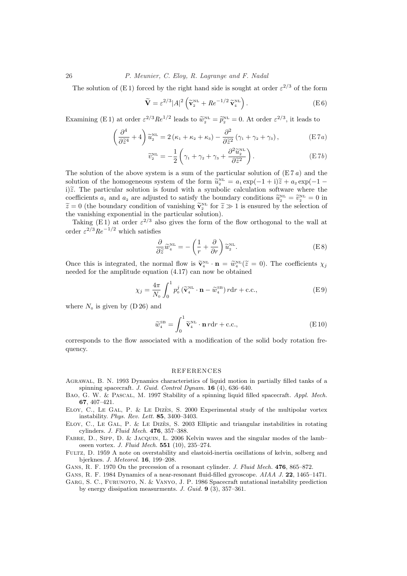The solution of (E1) forced by the right hand side is sought at order  $\varepsilon^{2/3}$  of the form

$$
\widetilde{\mathbf{V}} = \varepsilon^{2/3} |A|^2 \left( \widetilde{\mathbf{v}}_2^{\text{NL}} + Re^{-1/2} \widetilde{\mathbf{v}}_4^{\text{NL}} \right). \tag{E.6}
$$

Examining (E 1) at order  $\varepsilon^{2/3}Re^{1/2}$  leads to  $\widetilde{w}_2^{\text{NL}} = \widetilde{p}_2^{\text{NL}} = 0$ . At order  $\varepsilon^{2/3}$ , it leads to

$$
\left(\frac{\partial^4}{\partial \tilde{z}^4} + 4\right) \tilde{u}_2^{\text{NL}} = 2\left(\kappa_1 + \kappa_2 + \kappa_3\right) - \frac{\partial^2}{\partial \tilde{z}^2} \left(\gamma_1 + \gamma_2 + \gamma_3\right),\tag{E7a}
$$

$$
\widetilde{v}_2^{\text{NL}} = -\frac{1}{2} \left( \gamma_1 + \gamma_2 + \gamma_3 + \frac{\partial^2 \widetilde{u}_2^{\text{NL}}}{\partial \widetilde{z}^2} \right). \tag{E7b}
$$

The solution of the above system is a sum of the particular solution of  $(E 7 a)$  and the solution of the homogeneous system of the form  $\tilde{u}_2^{\text{NL}} = a_1 \exp(-1 + i)\tilde{z} + a_2 \exp(-1 - i)$ i) $\tilde{z}$ . The particular solution is found with a symbolic calculation software where the coefficients  $a_1$  and  $a_2$  are adjusted to satisfy the boundary conditions  $\tilde{u}_2^{\text{NL}} = \tilde{v}_2^{\text{NL}} = 0$  in  $\tilde{z} = 0$  (the boundary condition of vanishing  $\tilde{\mathbf{v}}_2^{\text{NL}}$  for  $\tilde{z} \gg 1$  is ensured by the selection of the vanishing exponential in the particular solution).

Taking (E1) at order  $\varepsilon^{2/3}$  also gives the form of the flow orthogonal to the wall at order  $\varepsilon^{2/3} Re^{-1/2}$  which satisfies

$$
\frac{\partial}{\partial \tilde{z}} \tilde{w}_4^{\text{NL}} = -\left(\frac{1}{r} + \frac{\partial}{\partial r}\right) \tilde{u}_2^{\text{NL}}.
$$
 (E8)

Once this is integrated, the normal flow is  $\tilde{\mathbf{v}}_4^{\text{NL}} \cdot \mathbf{n} = \tilde{w}_4^{\text{NL}}(\tilde{z} = 0)$ . The coefficients  $\chi_j$ needed for the amplitude equation (4.17) can now be obtained

$$
\chi_j = \frac{4\pi}{N_0} \int_0^1 p_0^j \left(\tilde{\mathbf{v}}_4^{\text{NL}} \cdot \mathbf{n} - \tilde{w}_4^{\text{SB}}\right) r \mathrm{d}r + \text{c.c.},\tag{E.9}
$$

where  $N_0$  is given by (D 26) and

$$
\widetilde{w}_4^{\text{SB}} = \int_0^1 \widetilde{\mathbf{v}}_4^{\text{NL}} \cdot \mathbf{n} \, r \mathrm{d}r + \text{c.c.},\tag{E10}
$$

corresponds to the flow associated with a modification of the solid body rotation frequency.

#### REFERENCES

- Agrawal, B. N. 1993 Dynamics characteristics of liquid motion in partially filled tanks of a spinning spacecraft. J. Guid. Control Dynam. 16 (4), 636–640.
- BAO, G. W. & PASCAL, M. 1997 Stability of a spinning liquid filled spacecraft. Appl. Mech. 67, 407–421.
- ELOY, C., LE GAL, P. & LE DIZES, S. 2000 Experimental study of the multipolar vortex instability. Phys. Rev. Lett. 85, 3400–3403.
- ELOY, C., LE GAL, P. & LE DIZES, S. 2003 Elliptic and triangular instabilities in rotating cylinders. J. Fluid Mech. 476, 357–388.

Fabre, D., Sipp, D. & Jacquin, L. 2006 Kelvin waves and the singular modes of the lamb– oseen vortex. J. Fluid Mech. 551 (10), 235–274.

Fultz, D. 1959 A note on overstability and elastoid-inertia oscillations of kelvin, solberg and bjerknes. J. Meteorol. 16, 199–208.

GANS, R. F. 1970 On the precession of a resonant cylinder. J. Fluid Mech. 476, 865-872.

- GANS, R. F. 1984 Dynamics of a near-resonant fluid-filled gyroscope. AIAA J. 22, 1465–1471.
- Garg, S. C., Furunoto, N. & Vanyo, J. P. 1986 Spacecraft nutational instability prediction by energy dissipation measurments. J. Guid. 9 (3), 357–361.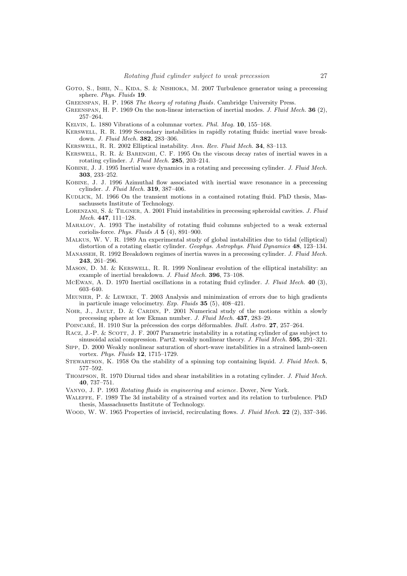GOTO, S., ISHII, N., KIDA, S. & NISHIOKA, M. 2007 Turbulence generator using a precessing sphere. Phys. Fluids 19.

Greenspan, H. P. 1968 The theory of rotating fluids. Cambridge University Press.

- GREENSPAN, H. P. 1969 On the non-linear interaction of inertial modes. J. Fluid Mech. 36 (2), 257–264.
- Kelvin, L. 1880 Vibrations of a columnar vortex. Phil. Mag. 10, 155–168.
- Kerswell, R. R. 1999 Secondary instabilities in rapidly rotating fluids: inertial wave breakdown. J. Fluid Mech. 382, 283–306.
- Kerswell, R. R. 2002 Elliptical instability. Ann. Rev. Fluid Mech. 34, 83–113.
- Kerswell, R. R. & Barenghi, C. F. 1995 On the viscous decay rates of inertial waves in a rotating cylinder. J. Fluid Mech. 285, 203–214.
- Kobine, J. J. 1995 Inertial wave dynamics in a rotating and precessing cylinder. J. Fluid Mech. 303, 233–252.
- Kobine, J. J. 1996 Azimuthal flow associated with inertial wave resonance in a precessing cylinder. J. Fluid Mech. 319, 387–406.
- KUDLICK, M. 1966 On the transient motions in a contained rotating fluid. PhD thesis, Massachussets Institute of Technology.
- LORENZANI, S. & TILGNER, A. 2001 Fluid instabilities in precessing spheroidal cavities. J. Fluid Mech. 447, 111–128.
- Mahalov, A. 1993 The instability of rotating fluid columns subjected to a weak external coriolis-force. Phys. Fluids A 5 (4), 891–900.
- Malkus, W. V. R. 1989 An experimental study of global instabilities due to tidal (elliptical) distortion of a rotating elastic cylinder. Geophys. Astrophys. Fluid Dynamics 48, 123–134.
- Manasseh, R. 1992 Breakdown regimes of inertia waves in a precessing cylinder. J. Fluid Mech. 243, 261–296.
- Mason, D. M. & Kerswell, R. R. 1999 Nonlinear evolution of the elliptical instability: an example of inertial breakdown. J. Fluid Mech. 396, 73–108.
- MCEWAN, A. D. 1970 Inertial oscillations in a rotating fluid cylinder. J. Fluid Mech. 40 (3), 603–640.
- Meunier, P. & Leweke, T. 2003 Analysis and minimization of errors due to high gradients in particule image velocimetry. Exp. Fluids 35 (5), 408–421.
- NOIR, J., JAULT, D. & CARDIN, P. 2001 Numerical study of the motions within a slowly precessing sphere at low Ekman number. J. Fluid Mech. 437, 283–29.
- POINCARÉ, H. 1910 Sur la précession des corps déformables. Bull. Astro. 27, 257–264.

RACZ, J.-P. & SCOTT, J. F. 2007 Parametric instability in a rotating cylinder of gas subject to sinusoidal axial compression. Part2. weakly nonlinear theory. J. Fluid Mech. 595, 291–321.

- Sipp, D. 2000 Weakly nonlinear saturation of short-wave instabilities in a strained lamb-oseen vortex. Phys. Fluids 12, 1715–1729.
- STEWARTSON, K. 1958 On the stability of a spinning top containing liquid. J. Fluid Mech. 5, 577–592.
- Thompson, R. 1970 Diurnal tides and shear instabilities in a rotating cylinder. J. Fluid Mech. 40, 737–751.
- Vanyo, J. P. 1993 Rotating fluids in engineering and science. Dover, New York.
- Waleffe, F. 1989 The 3d instability of a strained vortex and its relation to turbulence. PhD thesis, Massachusetts Institute of Technology.
- WOOD, W. W. 1965 Properties of inviscid, recirculating flows. J. Fluid Mech. 22 (2), 337–346.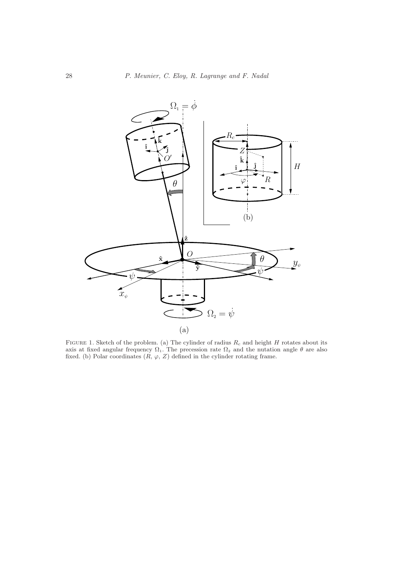

FIGURE 1. Sketch of the problem. (a) The cylinder of radius  $R_c$  and height H rotates about its axis at fixed angular frequency  $\Omega_1$ . The precession rate  $\Omega_2$  and the nutation angle  $\theta$  are also fixed. (b) Polar coordinates  $(R, \varphi, Z)$  defined in the cylinder rotating frame.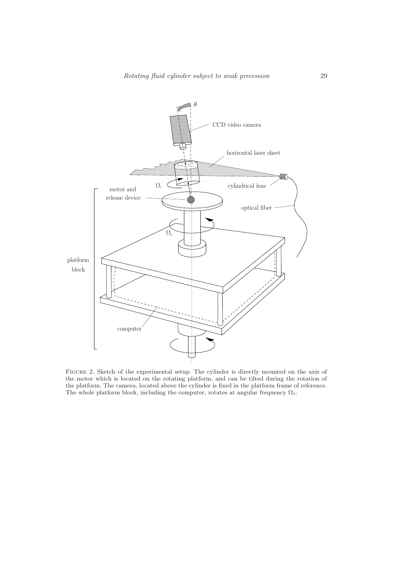

Figure 2. Sketch of the experimental setup. The cylinder is directly mounted on the axis of the motor which is located on the rotating platform, and can be tilted during the rotation of the platform. The camera, located above the cylinder is fixed in the platform frame of reference. The whole platform block, including the computer, rotates at angular frequency  $\Omega_2$ .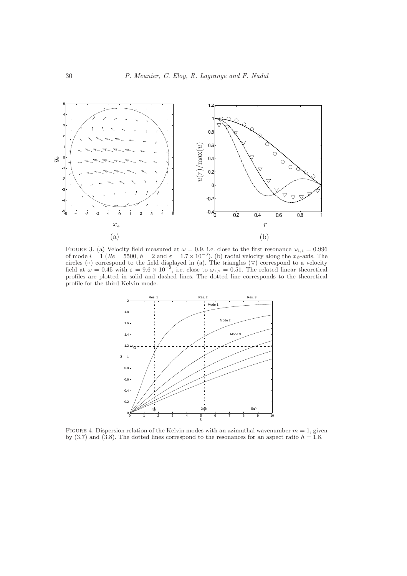

FIGURE 3. (a) Velocity field measured at  $\omega = 0.9$ , i.e. close to the first resonance  $\omega_{1,1} = 0.996$ of mode  $i = 1$  ( $Re = 5500, h = 2$  and  $\varepsilon = 1.7 \times 10^{-3}$ ). (b) radial velocity along the  $x_{\psi}$ -axis. The circles ( $\circ$ ) correspond to the field displayed in (a). The triangles ( $\triangledown$ ) correspond to a velocity field at  $\omega = 0.45$  with  $\varepsilon = 9.6 \times 10^{-3}$ , i.e. close to  $\omega_{1,2} = 0.51$ . The related linear theoretical profiles are plotted in solid and dashed lines. The dotted line corresponds to the theoretical profile for the third Kelvin mode.



FIGURE 4. Dispersion relation of the Kelvin modes with an azimuthal wavenumber  $m = 1$ , given by (3.7) and (3.8). The dotted lines correspond to the resonances for an aspect ratio  $h = 1.8$ .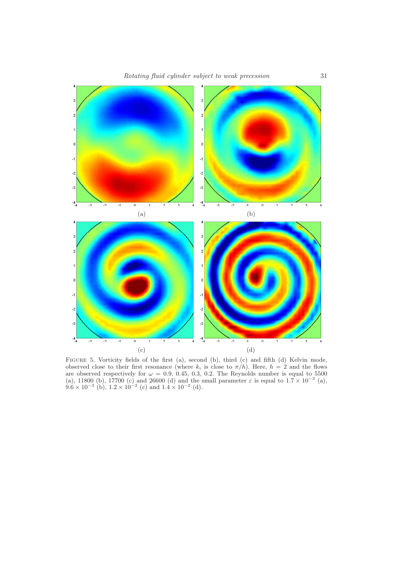

FIGURE 5. Vorticity fields of the first (a), second (b), third (c) and fifth (d) Kelvin mode, observed close to their first resonance (where  $k_i$  is close to  $\pi/h$ ). Here,  $h = 2$  and the flows are observed respectively for  $\omega = 0.9, 0.45, 0.3, 0.2$ . The Reynolds number is equal to 5500 (a), 11800 (b), 17700 (c) and 26600 (d) and the small parameter  $\varepsilon$  is equal to  $1.\overline{7} \times 10^{-3}$  (a),  $9.6 \times 10^{-3}$  (b),  $1.2 \times 10^{-2}$  (c) and  $1.4 \times 10^{-2}$  (d).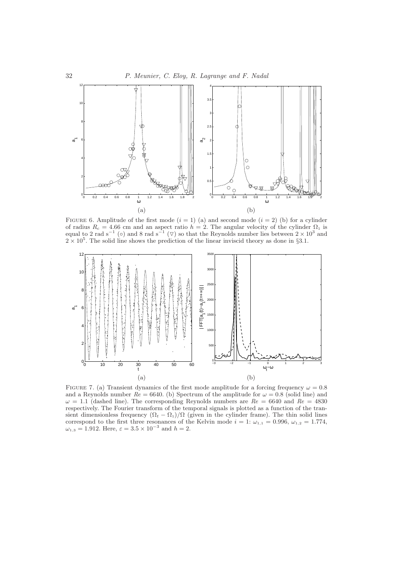



FIGURE 6. Amplitude of the first mode  $(i = 1)$  (a) and second mode  $(i = 2)$  (b) for a cylinder of radius  $R_c = 4.66$  cm and an aspect ratio  $h = 2$ . The angular velocity of the cylinder  $\Omega_1$  is equal to 2 rad s<sup>-1</sup> (○) and 8 rad s<sup>-1</sup> (▽) so that the Reynolds number lies between  $2 \times 10^3$  and  $2 \times 10^5$ . The solid line shows the prediction of the linear inviscid theory as done in §3.1.



FIGURE 7. (a) Transient dynamics of the first mode amplitude for a forcing frequency  $\omega = 0.8$ and a Reynolds number  $Re = 6640$ . (b) Spectrum of the amplitude for  $\omega = 0.8$  (solid line) and  $\omega = 1.1$  (dashed line). The corresponding Reynolds numbers are  $Re = 6640$  and  $Re = 4830$ respectively. The Fourier transform of the temporal signals is plotted as a function of the transient dimensionless frequency  $(\Omega_t - \Omega_1)/\Omega$  (given in the cylinder frame). The thin solid lines correspond to the first three resonances of the Kelvin mode  $i = 1$ :  $\omega_{1,1} = 0.996, \omega_{1,2} = 1.774,$  $\omega_{1,3} = 1.912$ . Here,  $\varepsilon = 3.5 \times 10^{-3}$  and  $h = 2$ .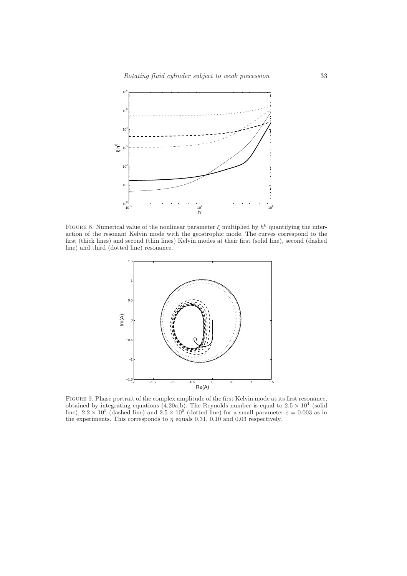

FIGURE 8. Numerical value of the nonlinear parameter  $\xi$  multiplied by  $h^6$  quantifying the interaction of the resonant Kelvin mode with the geostrophic mode. The curves correspond to the first (thick lines) and second (thin lines) Kelvin modes at their first (solid line), second (dashed line) and third (dotted line) resonance.



Figure 9. Phase portrait of the complex amplitude of the first Kelvin mode at its first resonance, obtained by integrating equations  $(4.20a,b)$ . The Reynolds number is equal to  $2.5 \times 10^4$  (solid line),  $2.2 \times 10^5$  (dashed line) and  $2.5 \times 10^6$  (dotted line) for a small parameter  $\varepsilon = 0.003$  as in the experiments. This corresponds to  $\eta$  equals 0.31, 0.10 and 0.03 respectively.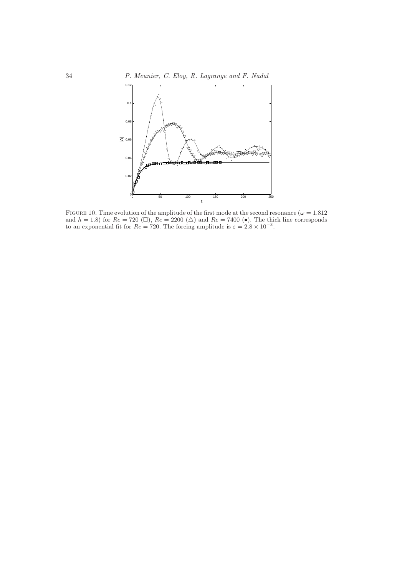34 P. Meunier, C. Eloy, R. Lagrange and F. Nadal



FIGURE 10. Time evolution of the amplitude of the first mode at the second resonance ( $\omega = 1.812$ ) and  $h = 1.8$ ) for  $Re = 720 \ (\Box)$ ,  $Re = 2200 \ (\Delta)$  and  $Re = 7400 \ (\bullet)$ . The thick line corresponds to an exponential fit for  $Re = 720$ . The forcing amplitude is  $\varepsilon = 2.8 \times 10^{-3}$ .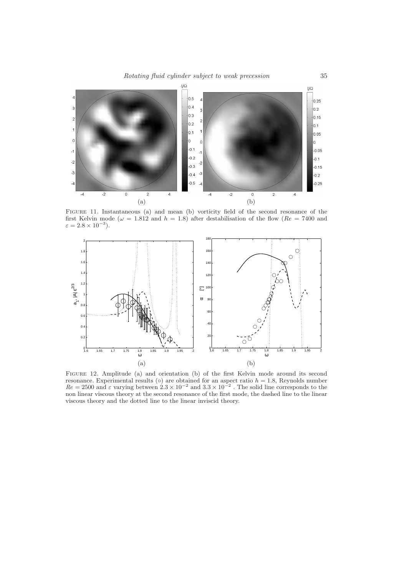Rotating fluid cylinder subject to weak precession 35



Figure 11. Instantaneous (a) and mean (b) vorticity field of the second resonance of the first Kelvin mode ( $\omega = 1.812$  and  $h = 1.8$ ) after destabilisation of the flow ( $Re = 7400$  and  $\varepsilon = 2.8 \times 10^{-3}$ ).



Figure 12. Amplitude (a) and orientation (b) of the first Kelvin mode around its second resonance. Experimental results  $(\circ)$  are obtained for an aspect ratio  $h = 1.8$ , Reynolds number  $Re = 2500$  and  $\varepsilon$  varying between  $2.3 \times 10^{-2}$  and  $3.3 \times 10^{-2}$ . The solid line corresponds to the non linear viscous theory at the second resonance of the first mode, the dashed line to the linear viscous theory and the dotted line to the linear inviscid theory.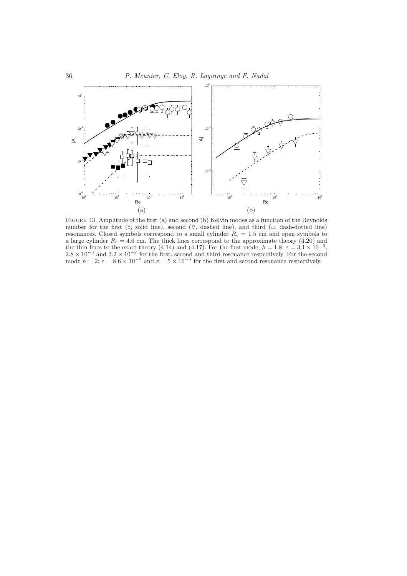

Figure 13. Amplitude of the first (a) and second (b) Kelvin modes as a function of the Reynolds number for the first (◦, solid line), second (▽, dashed line), and third (□, dash-dotted line) resonances. Closed symbols correspond to a small cylinder  $R_c = 1.5$  cm and open symbols to a large cylinder  $R_c = 4.6$  cm. The thick lines correspond to the approximate theory (4.20) and the thin lines to the exact theory (4.14) and (4.17). For the first mode,  $h = 1.8$ ;  $\varepsilon = 3.1 \times 10^{-3}$ ,  $2.8 \times 10^{-3}$  and  $3.2 \times 10^{-2}$  for the first, second and third resonance respectively. For the second mode  $h = 2$ ;  $\varepsilon = 8.6 \times 10^{-3}$  and  $\varepsilon = 5 \times 10^{-3}$  for the first and second resonance respectively.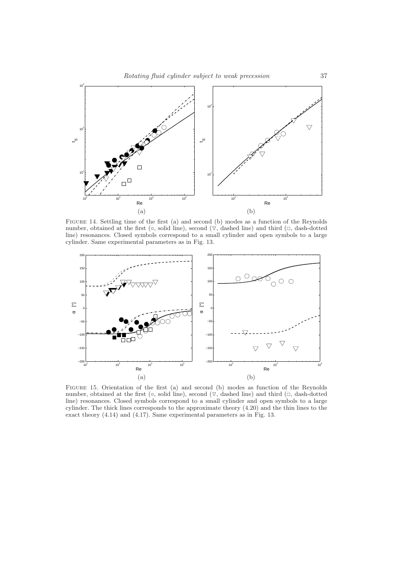

FIGURE 14. Settling time of the first (a) and second (b) modes as a function of the Reynolds number, obtained at the first ( $\circ$ , solid line), second ( $\nabla$ , dashed line) and third ( $\square$ , dash-dotted line) resonances. Closed symbols correspond to a small cylinder and open symbols to a large cylinder. Same experimental parameters as in Fig. 13.



Figure 15. Orientation of the first (a) and second (b) modes as function of the Reynolds number, obtained at the first ( $\circ$ , solid line), second ( $\nabla$ , dashed line) and third ( $\square$ , dash-dotted line) resonances. Closed symbols correspond to a small cylinder and open symbols to a large cylinder. The thick lines corresponds to the approximate theory (4.20) and the thin lines to the exact theory (4.14) and (4.17). Same experimental parameters as in Fig. 13.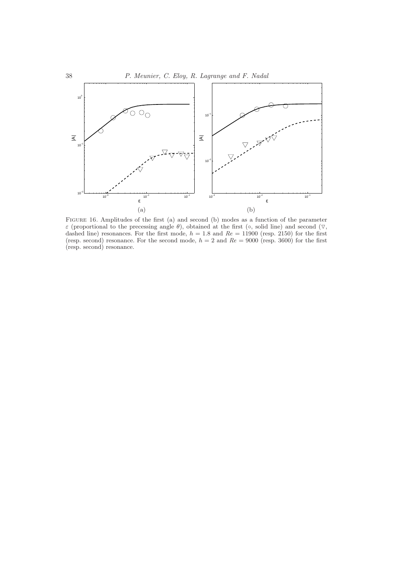

Figure 16. Amplitudes of the first (a) and second (b) modes as a function of the parameter  $\varepsilon$  (proportional to the precessing angle  $\theta$ ), obtained at the first ( $\circ$ , solid line) and second ( $\nabla$ , dashed line) resonances. For the first mode,  $h = 1.8$  and  $Re = 11900$  (resp. 2150) for the first (resp. second) resonance. For the second mode,  $h = 2$  and  $Re = 9000$  (resp. 3600) for the first (resp. second) resonance.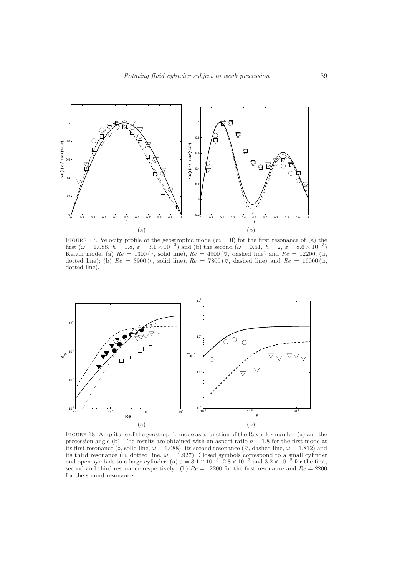

FIGURE 17. Velocity profile of the geostrophic mode  $(m = 0)$  for the first resonance of (a) the first ( $\omega = 1.088$ ,  $h = 1.8$ ,  $\varepsilon = 3.1 \times 10^{-3}$ ) and (b) the second ( $\omega = 0.51$ ,  $h = 2$ ,  $\varepsilon = 8.6 \times 10^{-3}$ ) Kelvin mode. (a)  $Re = 1300 \, \text{(°)}$ , solid line),  $Re = 4900 \, \text{(} \nabla$ , dashed line) and  $Re = 12200$ ,  $\text{(} \Box$ , dotted line); (b)  $Re = 3900$  (∘, solid line),  $Re = 7800$  ( $\nabla$ , dashed line) and  $Re = 16000$  ( $\Box$ , dotted line).



Figure 18. Amplitude of the geostrophic mode as a function of the Reynolds number (a) and the precession angle (b). The results are obtained with an aspect ratio  $h = 1.8$  for the first mode at its first resonance ( $\circ$ , solid line,  $\omega = 1.088$ ), its second resonance ( $\nabla$ , dashed line,  $\omega = 1.812$ ) and its third resonance ( $\Box$ , dotted line,  $\omega = 1.927$ ). Closed symbols correspond to a small cylinder and open symbols to a large cylinder. (a)  $\varepsilon = 3.1 \times 10^{-3}$ ,  $2.8 \times 10^{-3}$  and  $3.2 \times 10^{-2}$  for the first, second and third resonance respectively.; (b)  $Re = 12200$  for the first resonance and  $Re = 2200$ for the second resonance.